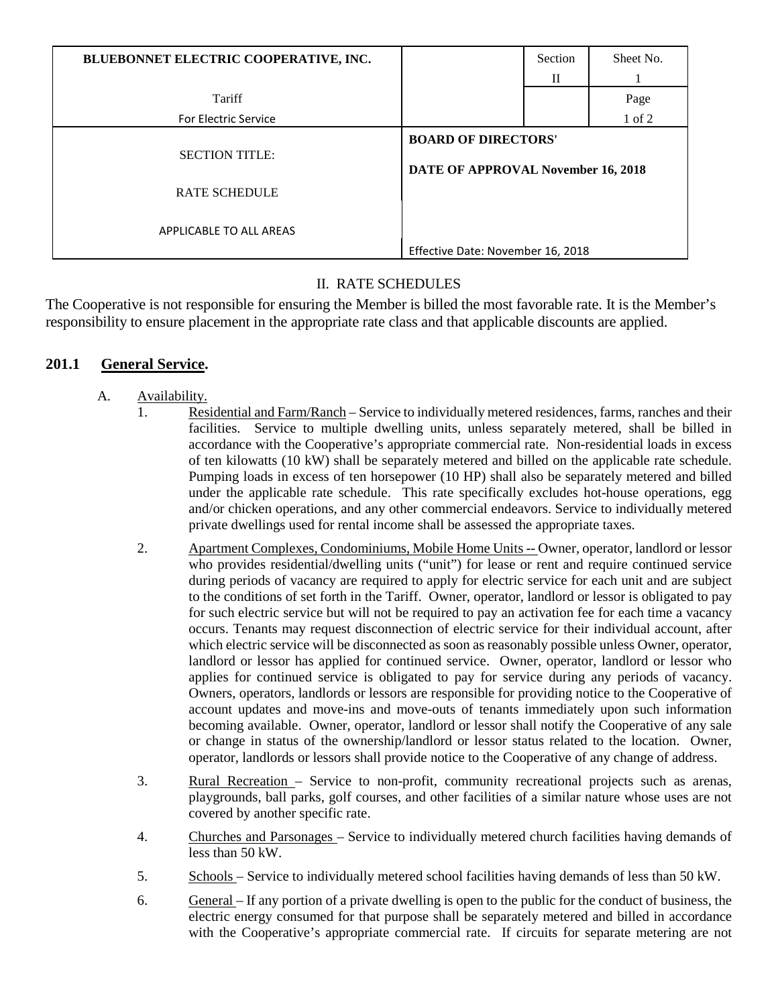| BLUEBONNET ELECTRIC COOPERATIVE, INC. |                                                                  | Section      | Sheet No. |
|---------------------------------------|------------------------------------------------------------------|--------------|-----------|
|                                       |                                                                  | $\mathbf{I}$ |           |
| Tariff                                |                                                                  |              | Page      |
| <b>For Electric Service</b>           |                                                                  |              | 1 of 2    |
| <b>SECTION TITLE:</b>                 | <b>BOARD OF DIRECTORS'</b><br>DATE OF APPROVAL November 16, 2018 |              |           |
| <b>RATE SCHEDULE</b>                  |                                                                  |              |           |
| APPLICABLE TO ALL AREAS               | Effective Date: November 16, 2018                                |              |           |
|                                       |                                                                  |              |           |

# II. RATE SCHEDULES

The Cooperative is not responsible for ensuring the Member is billed the most favorable rate. It is the Member's responsibility to ensure placement in the appropriate rate class and that applicable discounts are applied.

# **201.1 General Service.**

- A. Availability.
	- 1. Residential and Farm/Ranch Service to individually metered residences, farms, ranches and their facilities. Service to multiple dwelling units, unless separately metered, shall be billed in accordance with the Cooperative's appropriate commercial rate. Non-residential loads in excess of ten kilowatts (10 kW) shall be separately metered and billed on the applicable rate schedule. Pumping loads in excess of ten horsepower (10 HP) shall also be separately metered and billed under the applicable rate schedule. This rate specifically excludes hot-house operations, egg and/or chicken operations, and any other commercial endeavors. Service to individually metered private dwellings used for rental income shall be assessed the appropriate taxes.
	- 2. Apartment Complexes, Condominiums, Mobile Home Units -- Owner, operator, landlord or lessor who provides residential/dwelling units ("unit") for lease or rent and require continued service during periods of vacancy are required to apply for electric service for each unit and are subject to the conditions of set forth in the Tariff. Owner, operator, landlord or lessor is obligated to pay for such electric service but will not be required to pay an activation fee for each time a vacancy occurs. Tenants may request disconnection of electric service for their individual account, after which electric service will be disconnected as soon as reasonably possible unless Owner, operator, landlord or lessor has applied for continued service. Owner, operator, landlord or lessor who applies for continued service is obligated to pay for service during any periods of vacancy. Owners, operators, landlords or lessors are responsible for providing notice to the Cooperative of account updates and move-ins and move-outs of tenants immediately upon such information becoming available. Owner, operator, landlord or lessor shall notify the Cooperative of any sale or change in status of the ownership/landlord or lessor status related to the location. Owner, operator, landlords or lessors shall provide notice to the Cooperative of any change of address.
	- 3. Rural Recreation Service to non-profit, community recreational projects such as arenas, playgrounds, ball parks, golf courses, and other facilities of a similar nature whose uses are not covered by another specific rate.
	- 4. Churches and Parsonages Service to individually metered church facilities having demands of less than 50 kW.
	- 5. Schools Service to individually metered school facilities having demands of less than 50 kW.
	- 6. General If any portion of a private dwelling is open to the public for the conduct of business, the electric energy consumed for that purpose shall be separately metered and billed in accordance with the Cooperative's appropriate commercial rate. If circuits for separate metering are not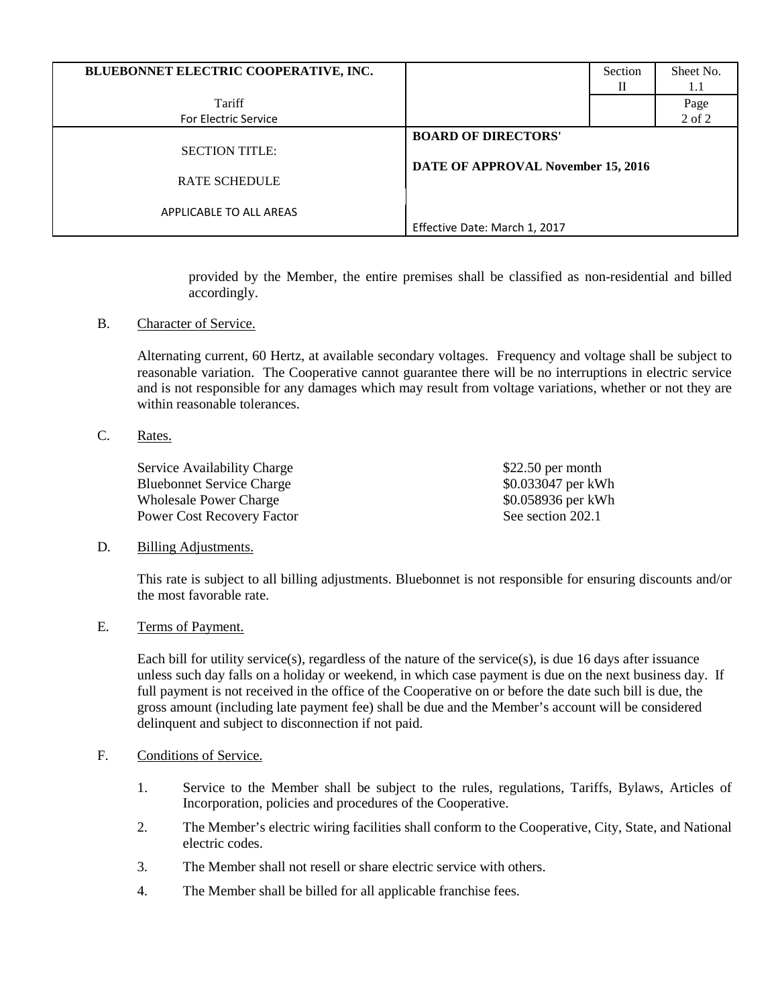| BLUEBONNET ELECTRIC COOPERATIVE, INC.         |                                                                  | Section<br>П | Sheet No.<br>1.1 |
|-----------------------------------------------|------------------------------------------------------------------|--------------|------------------|
| Tariff<br><b>For Electric Service</b>         |                                                                  |              | Page<br>2 of 2   |
| <b>SECTION TITLE:</b><br><b>RATE SCHEDULE</b> | <b>BOARD OF DIRECTORS'</b><br>DATE OF APPROVAL November 15, 2016 |              |                  |
| APPLICABLE TO ALL AREAS                       | Effective Date: March 1, 2017                                    |              |                  |

provided by the Member, the entire premises shall be classified as non-residential and billed accordingly.

B. Character of Service.

Alternating current, 60 Hertz, at available secondary voltages. Frequency and voltage shall be subject to reasonable variation. The Cooperative cannot guarantee there will be no interruptions in electric service and is not responsible for any damages which may result from voltage variations, whether or not they are within reasonable tolerances.

C. Rates.

Service Availability Charge \$22.50 per month Bluebonnet Service Charge  $$0.033047$  per kWh Wholesale Power Charge  $\text{80.058936}$  per kWh Power Cost Recovery Factor See section 202.1

#### D. Billing Adjustments.

This rate is subject to all billing adjustments. Bluebonnet is not responsible for ensuring discounts and/or the most favorable rate.

#### E. Terms of Payment.

Each bill for utility service(s), regardless of the nature of the service(s), is due 16 days after issuance unless such day falls on a holiday or weekend, in which case payment is due on the next business day. If full payment is not received in the office of the Cooperative on or before the date such bill is due, the gross amount (including late payment fee) shall be due and the Member's account will be considered delinquent and subject to disconnection if not paid.

# F. Conditions of Service.

- 1. Service to the Member shall be subject to the rules, regulations, Tariffs, Bylaws, Articles of Incorporation, policies and procedures of the Cooperative.
- 2. The Member's electric wiring facilities shall conform to the Cooperative, City, State, and National electric codes.
- 3. The Member shall not resell or share electric service with others.
- 4. The Member shall be billed for all applicable franchise fees.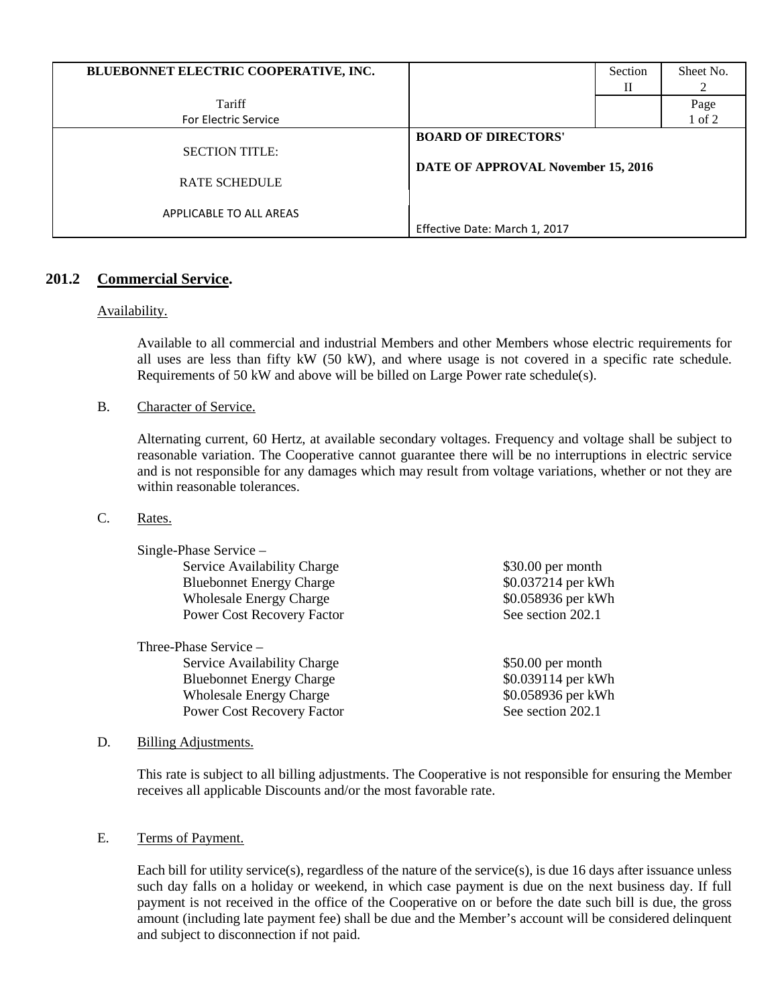| BLUEBONNET ELECTRIC COOPERATIVE, INC.         |                                                                  | Section<br>П | Sheet No. |
|-----------------------------------------------|------------------------------------------------------------------|--------------|-----------|
| Tariff                                        |                                                                  |              | Page      |
| For Electric Service                          |                                                                  |              | 1 of 2    |
| <b>SECTION TITLE:</b><br><b>RATE SCHEDULE</b> | <b>BOARD OF DIRECTORS'</b><br>DATE OF APPROVAL November 15, 2016 |              |           |
| APPLICABLE TO ALL AREAS                       | Effective Date: March 1, 2017                                    |              |           |

# **201.2 Commercial Service.**

# Availability.

Available to all commercial and industrial Members and other Members whose electric requirements for all uses are less than fifty kW (50 kW), and where usage is not covered in a specific rate schedule. Requirements of 50 kW and above will be billed on Large Power rate schedule(s).

# B. Character of Service.

Alternating current, 60 Hertz, at available secondary voltages. Frequency and voltage shall be subject to reasonable variation. The Cooperative cannot guarantee there will be no interruptions in electric service and is not responsible for any damages which may result from voltage variations, whether or not they are within reasonable tolerances.

# C. Rates.

Single-Phase Service –

Service Availability Charge  $$30.00$  per month Bluebonnet Energy Charge  $$0.037214$  per kWh Wholesale Energy Charge  $$0.058936$  per kWh Power Cost Recovery Factor See section 202.1

Three-Phase Service – Service Availability Charge  $$50.00$  per month Bluebonnet Energy Charge  $$0.039114$  per kWh Wholesale Energy Charge  $$0.058936$  per kWh Power Cost Recovery Factor See section 202.1

# D. Billing Adjustments.

This rate is subject to all billing adjustments. The Cooperative is not responsible for ensuring the Member receives all applicable Discounts and/or the most favorable rate.

# E. Terms of Payment.

Each bill for utility service(s), regardless of the nature of the service(s), is due 16 days after issuance unless such day falls on a holiday or weekend, in which case payment is due on the next business day. If full payment is not received in the office of the Cooperative on or before the date such bill is due, the gross amount (including late payment fee) shall be due and the Member's account will be considered delinquent and subject to disconnection if not paid.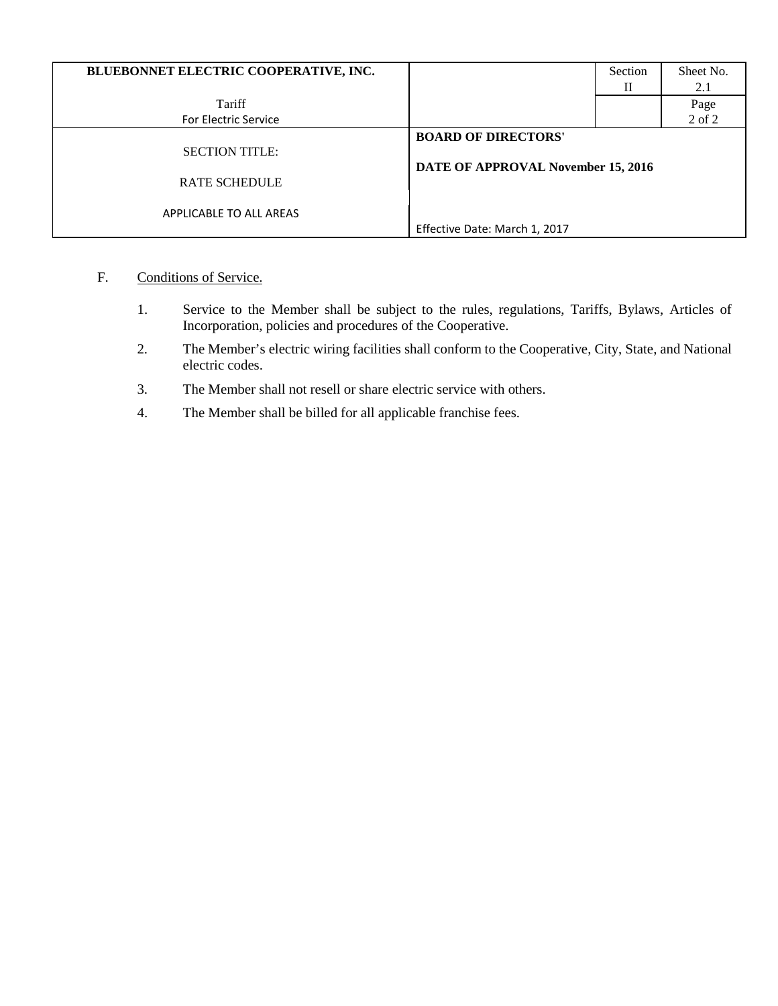| BLUEBONNET ELECTRIC COOPERATIVE, INC.         |                                                                  | Section<br>П | Sheet No.<br>2.1 |
|-----------------------------------------------|------------------------------------------------------------------|--------------|------------------|
| Tariff                                        |                                                                  |              | Page             |
| <b>For Electric Service</b>                   |                                                                  |              | 2 of 2           |
| <b>SECTION TITLE:</b><br><b>RATE SCHEDULE</b> | <b>BOARD OF DIRECTORS'</b><br>DATE OF APPROVAL November 15, 2016 |              |                  |
| APPLICABLE TO ALL AREAS                       | Effective Date: March 1, 2017                                    |              |                  |

- F. Conditions of Service.
	- 1. Service to the Member shall be subject to the rules, regulations, Tariffs, Bylaws, Articles of Incorporation, policies and procedures of the Cooperative.
	- 2. The Member's electric wiring facilities shall conform to the Cooperative, City, State, and National electric codes.
	- 3. The Member shall not resell or share electric service with others.
	- 4. The Member shall be billed for all applicable franchise fees.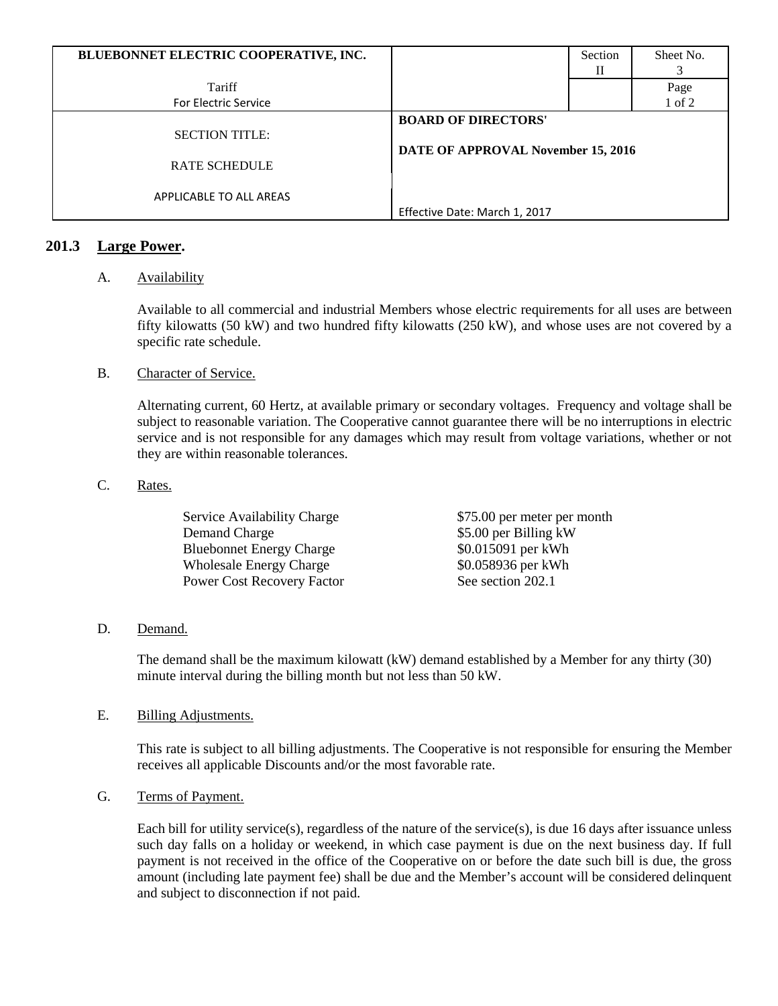| BLUEBONNET ELECTRIC COOPERATIVE, INC. |                                    | Section | Sheet No. |
|---------------------------------------|------------------------------------|---------|-----------|
|                                       |                                    | Н       |           |
| Tariff                                |                                    |         | Page      |
| <b>For Electric Service</b>           |                                    |         | 1 of 2    |
|                                       | <b>BOARD OF DIRECTORS'</b>         |         |           |
| <b>SECTION TITLE:</b>                 |                                    |         |           |
|                                       | DATE OF APPROVAL November 15, 2016 |         |           |
| <b>RATE SCHEDULE</b>                  |                                    |         |           |
|                                       |                                    |         |           |
| APPLICABLE TO ALL AREAS               |                                    |         |           |
|                                       | Effective Date: March 1, 2017      |         |           |

# **201.3 Large Power.**

# A. Availability

Available to all commercial and industrial Members whose electric requirements for all uses are between fifty kilowatts (50 kW) and two hundred fifty kilowatts (250 kW), and whose uses are not covered by a specific rate schedule.

# B. Character of Service.

Alternating current, 60 Hertz, at available primary or secondary voltages. Frequency and voltage shall be subject to reasonable variation. The Cooperative cannot guarantee there will be no interruptions in electric service and is not responsible for any damages which may result from voltage variations, whether or not they are within reasonable tolerances.

# C. Rates.

| Service Availability Charge       | \$75.00 per meter per month |
|-----------------------------------|-----------------------------|
| Demand Charge                     | \$5.00 per Billing kW       |
| <b>Bluebonnet Energy Charge</b>   | \$0.015091 per kWh          |
| <b>Wholesale Energy Charge</b>    | \$0.058936 per kWh          |
| <b>Power Cost Recovery Factor</b> | See section 202.1           |

# D. Demand.

The demand shall be the maximum kilowatt (kW) demand established by a Member for any thirty (30) minute interval during the billing month but not less than 50 kW.

# E. Billing Adjustments.

This rate is subject to all billing adjustments. The Cooperative is not responsible for ensuring the Member receives all applicable Discounts and/or the most favorable rate.

# G. Terms of Payment.

Each bill for utility service(s), regardless of the nature of the service(s), is due 16 days after issuance unless such day falls on a holiday or weekend, in which case payment is due on the next business day. If full payment is not received in the office of the Cooperative on or before the date such bill is due, the gross amount (including late payment fee) shall be due and the Member's account will be considered delinquent and subject to disconnection if not paid.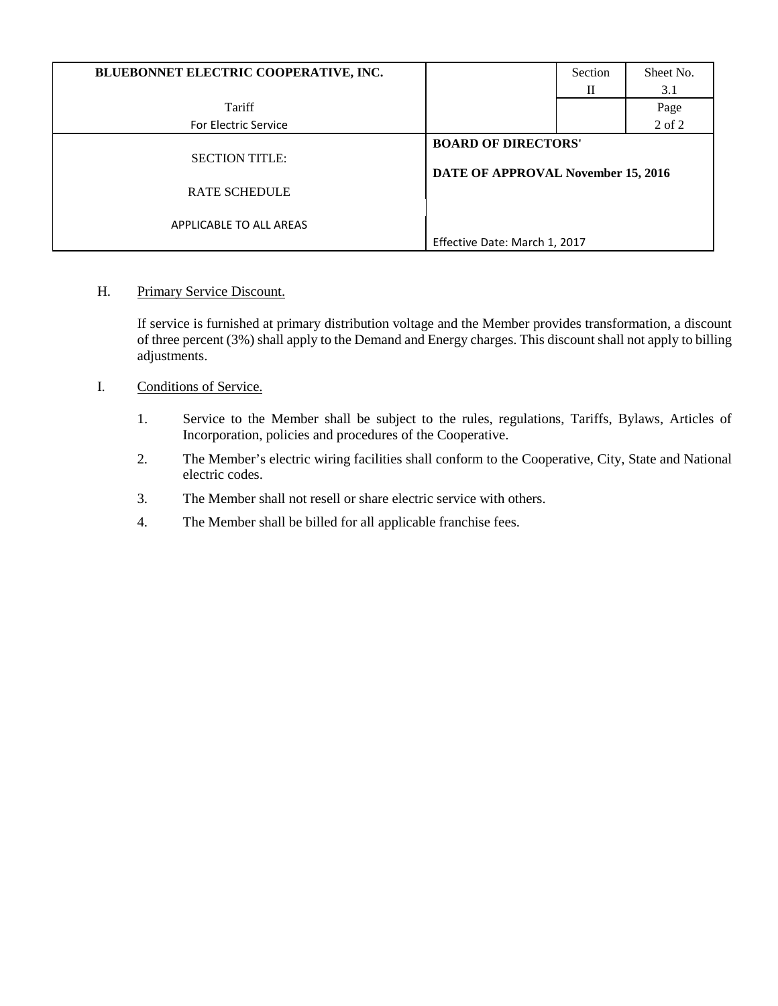| BLUEBONNET ELECTRIC COOPERATIVE, INC.         |                                                                  | Section<br>П | Sheet No.<br>3.1 |
|-----------------------------------------------|------------------------------------------------------------------|--------------|------------------|
| Tariff                                        |                                                                  |              | Page             |
| <b>For Electric Service</b>                   |                                                                  |              | 2 of 2           |
| <b>SECTION TITLE:</b><br><b>RATE SCHEDULE</b> | <b>BOARD OF DIRECTORS'</b><br>DATE OF APPROVAL November 15, 2016 |              |                  |
| APPLICABLE TO ALL AREAS                       | Effective Date: March 1, 2017                                    |              |                  |

H. Primary Service Discount.

If service is furnished at primary distribution voltage and the Member provides transformation, a discount of three percent (3%) shall apply to the Demand and Energy charges. This discount shall not apply to billing adjustments.

- I. Conditions of Service.
	- 1. Service to the Member shall be subject to the rules, regulations, Tariffs, Bylaws, Articles of Incorporation, policies and procedures of the Cooperative.
	- 2. The Member's electric wiring facilities shall conform to the Cooperative, City, State and National electric codes.
	- 3. The Member shall not resell or share electric service with others.
	- 4. The Member shall be billed for all applicable franchise fees.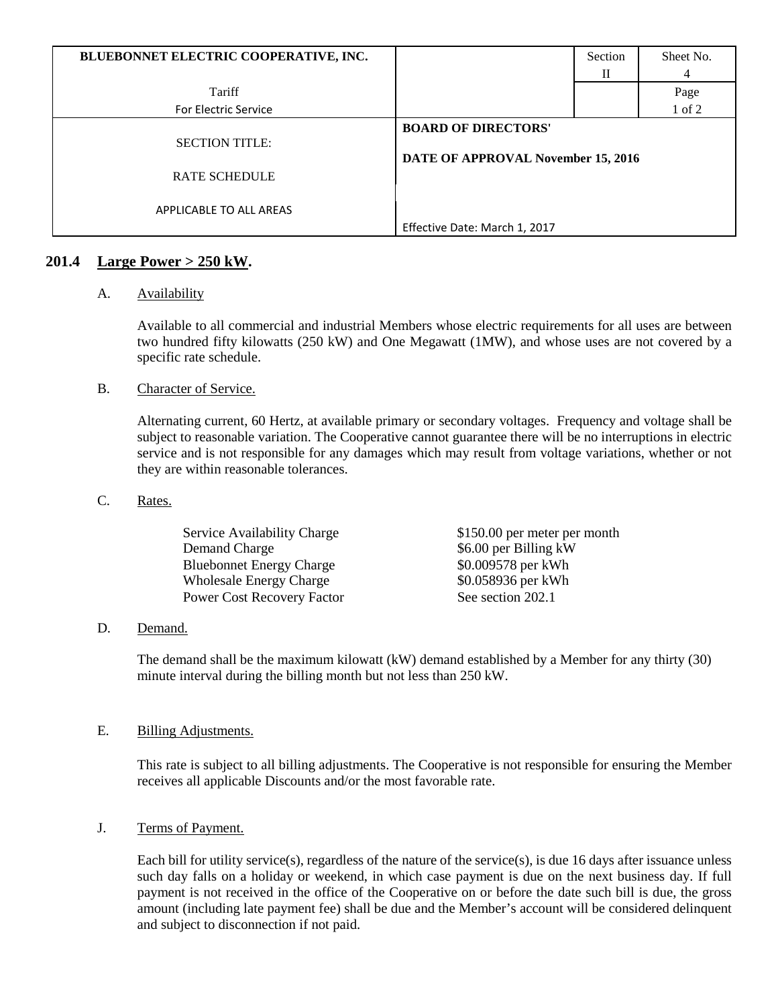| BLUEBONNET ELECTRIC COOPERATIVE, INC.         |                                                                  | Section | Sheet No.  |
|-----------------------------------------------|------------------------------------------------------------------|---------|------------|
|                                               |                                                                  | П       |            |
| Tariff                                        |                                                                  |         | Page       |
| For Electric Service                          |                                                                  |         | $1$ of $2$ |
| <b>SECTION TITLE:</b><br><b>RATE SCHEDULE</b> | <b>BOARD OF DIRECTORS'</b><br>DATE OF APPROVAL November 15, 2016 |         |            |
| APPLICABLE TO ALL AREAS                       |                                                                  |         |            |
|                                               | Effective Date: March 1, 2017                                    |         |            |

# **201.4 Large Power > 250 kW.**

# A. Availability

Available to all commercial and industrial Members whose electric requirements for all uses are between two hundred fifty kilowatts (250 kW) and One Megawatt (1MW), and whose uses are not covered by a specific rate schedule.

# B. Character of Service.

Alternating current, 60 Hertz, at available primary or secondary voltages. Frequency and voltage shall be subject to reasonable variation. The Cooperative cannot guarantee there will be no interruptions in electric service and is not responsible for any damages which may result from voltage variations, whether or not they are within reasonable tolerances.

# C. Rates.

| <b>Service Availability Charge</b> | \$150.00 per meter per month |
|------------------------------------|------------------------------|
| Demand Charge                      | \$6.00 per Billing kW        |
| <b>Bluebonnet Energy Charge</b>    | \$0.009578 per kWh           |
| <b>Wholesale Energy Charge</b>     | \$0.058936 per kWh           |
| <b>Power Cost Recovery Factor</b>  | See section 202.1            |

# D. Demand.

The demand shall be the maximum kilowatt (kW) demand established by a Member for any thirty (30) minute interval during the billing month but not less than 250 kW.

# E. Billing Adjustments.

This rate is subject to all billing adjustments. The Cooperative is not responsible for ensuring the Member receives all applicable Discounts and/or the most favorable rate.

# J. Terms of Payment.

Each bill for utility service(s), regardless of the nature of the service(s), is due 16 days after issuance unless such day falls on a holiday or weekend, in which case payment is due on the next business day. If full payment is not received in the office of the Cooperative on or before the date such bill is due, the gross amount (including late payment fee) shall be due and the Member's account will be considered delinquent and subject to disconnection if not paid.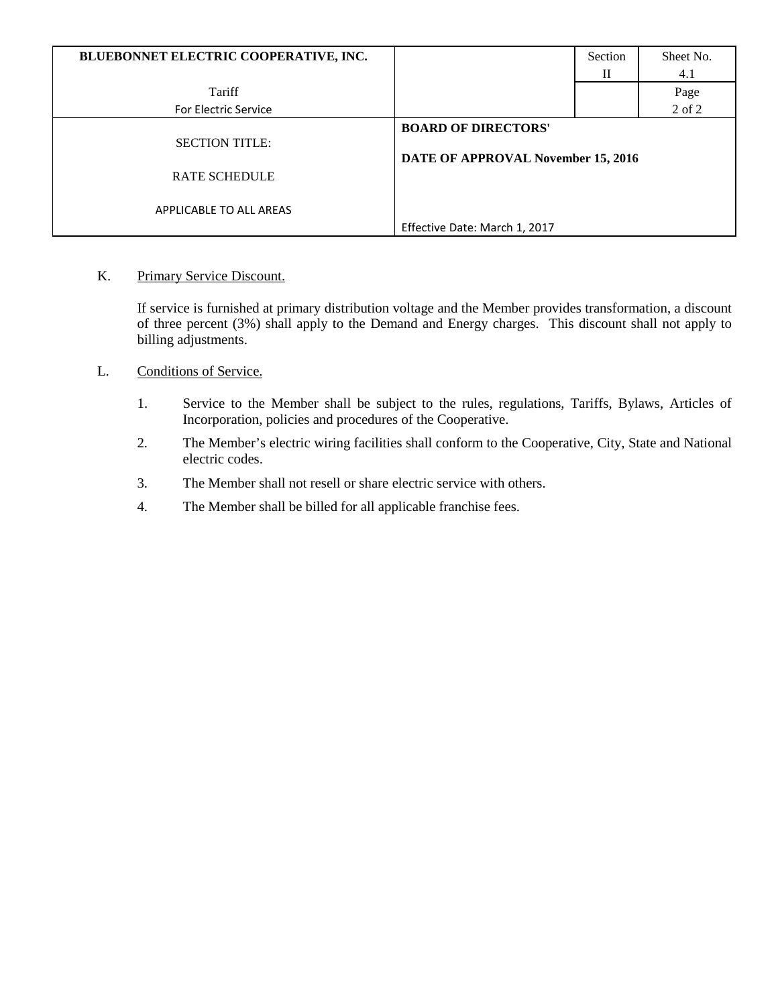| BLUEBONNET ELECTRIC COOPERATIVE, INC.         |                                                                  | Section | Sheet No. |
|-----------------------------------------------|------------------------------------------------------------------|---------|-----------|
|                                               |                                                                  | П       | 4.1       |
| Tariff                                        |                                                                  |         | Page      |
| For Electric Service                          |                                                                  |         | 2 of 2    |
| <b>SECTION TITLE:</b><br><b>RATE SCHEDULE</b> | <b>BOARD OF DIRECTORS'</b><br>DATE OF APPROVAL November 15, 2016 |         |           |
| APPLICABLE TO ALL AREAS                       |                                                                  |         |           |
|                                               | Effective Date: March 1, 2017                                    |         |           |

K. Primary Service Discount.

If service is furnished at primary distribution voltage and the Member provides transformation, a discount of three percent (3%) shall apply to the Demand and Energy charges. This discount shall not apply to billing adjustments.

- L. Conditions of Service.
	- 1. Service to the Member shall be subject to the rules, regulations, Tariffs, Bylaws, Articles of Incorporation, policies and procedures of the Cooperative.
	- 2. The Member's electric wiring facilities shall conform to the Cooperative, City, State and National electric codes.
	- 3. The Member shall not resell or share electric service with others.
	- 4. The Member shall be billed for all applicable franchise fees.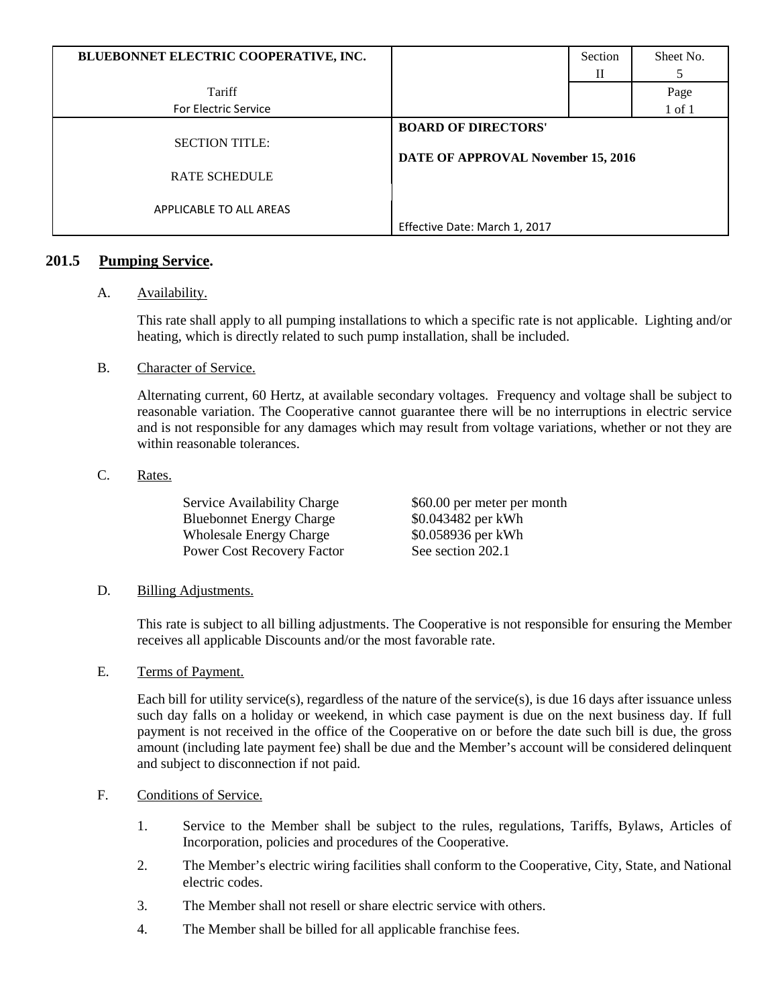| BLUEBONNET ELECTRIC COOPERATIVE, INC.         |                                                                  | Section | Sheet No.  |
|-----------------------------------------------|------------------------------------------------------------------|---------|------------|
|                                               |                                                                  | П       |            |
| Tariff                                        |                                                                  |         | Page       |
| <b>For Electric Service</b>                   |                                                                  |         | $1$ of $1$ |
| <b>SECTION TITLE:</b><br><b>RATE SCHEDULE</b> | <b>BOARD OF DIRECTORS'</b><br>DATE OF APPROVAL November 15, 2016 |         |            |
| APPLICABLE TO ALL AREAS                       | Effective Date: March 1, 2017                                    |         |            |

# **201.5 Pumping Service.**

# A. Availability.

This rate shall apply to all pumping installations to which a specific rate is not applicable. Lighting and/or heating, which is directly related to such pump installation, shall be included.

B. Character of Service.

Alternating current, 60 Hertz, at available secondary voltages. Frequency and voltage shall be subject to reasonable variation. The Cooperative cannot guarantee there will be no interruptions in electric service and is not responsible for any damages which may result from voltage variations, whether or not they are within reasonable tolerances.

# C. Rates.

| Service Availability Charge       | \$60.00 per meter per month |
|-----------------------------------|-----------------------------|
| <b>Bluebonnet Energy Charge</b>   | \$0.043482 per kWh          |
| <b>Wholesale Energy Charge</b>    | \$0.058936 per kWh          |
| <b>Power Cost Recovery Factor</b> | See section 202.1           |

#### D. Billing Adjustments.

This rate is subject to all billing adjustments. The Cooperative is not responsible for ensuring the Member receives all applicable Discounts and/or the most favorable rate.

#### E. Terms of Payment.

Each bill for utility service(s), regardless of the nature of the service(s), is due 16 days after issuance unless such day falls on a holiday or weekend, in which case payment is due on the next business day. If full payment is not received in the office of the Cooperative on or before the date such bill is due, the gross amount (including late payment fee) shall be due and the Member's account will be considered delinquent and subject to disconnection if not paid.

# F. Conditions of Service.

- 1. Service to the Member shall be subject to the rules, regulations, Tariffs, Bylaws, Articles of Incorporation, policies and procedures of the Cooperative.
- 2. The Member's electric wiring facilities shall conform to the Cooperative, City, State, and National electric codes.
- 3. The Member shall not resell or share electric service with others.
- 4. The Member shall be billed for all applicable franchise fees.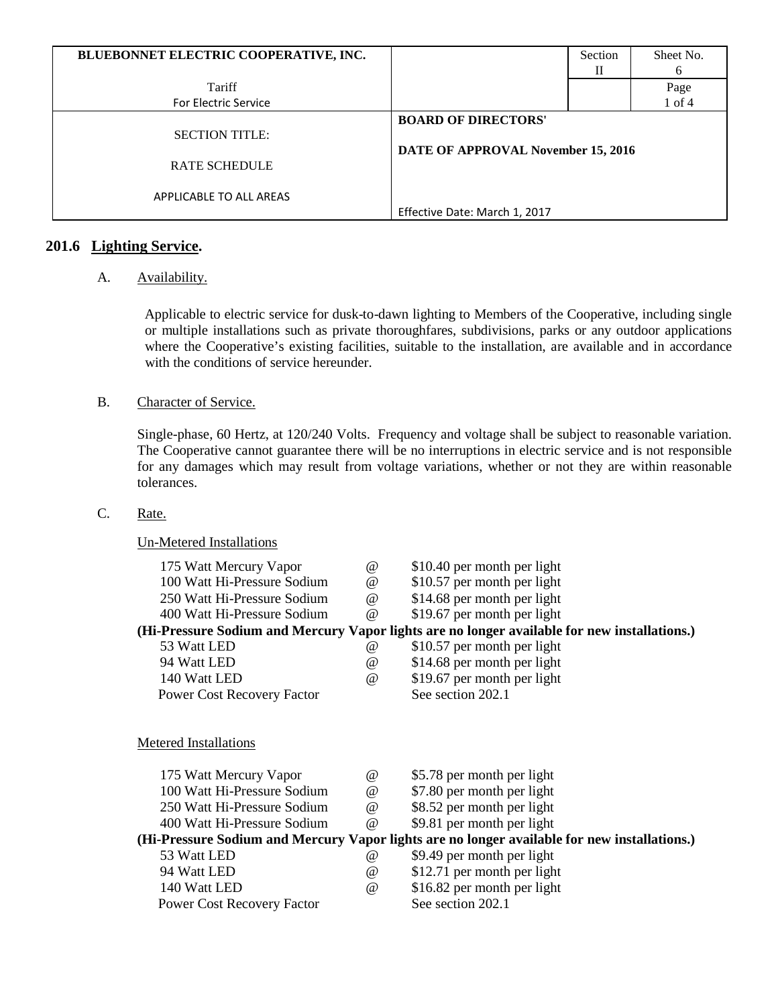| BLUEBONNET ELECTRIC COOPERATIVE, INC. |                                    | Section | Sheet No.    |
|---------------------------------------|------------------------------------|---------|--------------|
|                                       |                                    | Н       | <sub>(</sub> |
| Tariff                                |                                    |         | Page         |
| For Electric Service                  |                                    |         | $1$ of $4$   |
|                                       | <b>BOARD OF DIRECTORS'</b>         |         |              |
| <b>SECTION TITLE:</b>                 |                                    |         |              |
|                                       | DATE OF APPROVAL November 15, 2016 |         |              |
| <b>RATE SCHEDULE</b>                  |                                    |         |              |
|                                       |                                    |         |              |
| APPLICABLE TO ALL AREAS               |                                    |         |              |
|                                       | Effective Date: March 1, 2017      |         |              |

# **201.6 Lighting Service.**

# A. **Availability**.

Applicable to electric service for dusk-to-dawn lighting to Members of the Cooperative, including single or multiple installations such as private thoroughfares, subdivisions, parks or any outdoor applications where the Cooperative's existing facilities, suitable to the installation, are available and in accordance with the conditions of service hereunder.

#### B. Character of Service.

Single-phase, 60 Hertz, at 120/240 Volts. Frequency and voltage shall be subject to reasonable variation. The Cooperative cannot guarantee there will be no interruptions in electric service and is not responsible for any damages which may result from voltage variations, whether or not they are within reasonable tolerances.

# C. Rate.

# Un-Metered Installations

| 175 Watt Mercury Vapor            | $^{\omega}{}$                   | \$10.40 per month per light                                                                  |
|-----------------------------------|---------------------------------|----------------------------------------------------------------------------------------------|
| 100 Watt Hi-Pressure Sodium       | $^{\omega}{}$                   | \$10.57 per month per light                                                                  |
| 250 Watt Hi-Pressure Sodium       | $\omega$                        | \$14.68 per month per light                                                                  |
| 400 Watt Hi-Pressure Sodium       | $\omega$                        | \$19.67 per month per light                                                                  |
|                                   |                                 | (Hi-Pressure Sodium and Mercury Vapor lights are no longer available for new installations.) |
| 53 Watt LED                       | $^{\omega}$                     | \$10.57 per month per light                                                                  |
| 94 Watt LED                       | @                               | \$14.68 per month per light                                                                  |
| 140 Watt LED                      | $\omega$                        | \$19.67 per month per light                                                                  |
| <b>Power Cost Recovery Factor</b> |                                 | See section 202.1                                                                            |
| <b>Metered Installations</b>      |                                 |                                                                                              |
|                                   |                                 |                                                                                              |
| 175 Watt Mercury Vapor            | $\omega$                        | \$5.78 per month per light                                                                   |
| 100 Watt Hi-Pressure Sodium       | $^{\scriptsize\textregistered}$ | \$7.80 per month per light                                                                   |
| 250 Watt Hi-Pressure Sodium       | $\omega$                        | \$8.52 per month per light                                                                   |
| 400 Watt Hi-Pressure Sodium       | $\omega$                        | \$9.81 per month per light                                                                   |
|                                   |                                 | (Hi-Pressure Sodium and Mercury Vapor lights are no longer available for new installations.) |
| 53 Watt LED                       | $^{\omega}$                     | \$9.49 per month per light                                                                   |
| 94 Watt LED                       | @                               | \$12.71 per month per light                                                                  |
| 140 Watt LED                      | @                               | \$16.82 per month per light                                                                  |
| <b>Power Cost Recovery Factor</b> |                                 | See section 202.1                                                                            |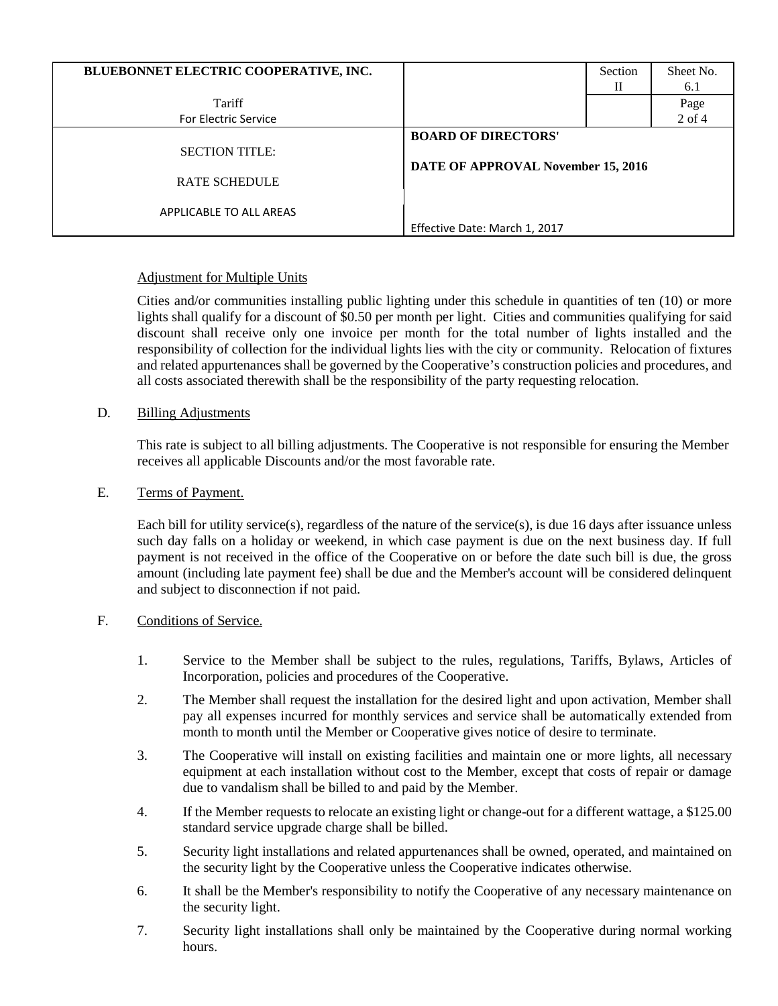| BLUEBONNET ELECTRIC COOPERATIVE, INC. |                                    | Section<br>Н | Sheet No.<br>6.1   |
|---------------------------------------|------------------------------------|--------------|--------------------|
| Tariff<br><b>For Electric Service</b> |                                    |              | Page<br>$2$ of $4$ |
|                                       | <b>BOARD OF DIRECTORS'</b>         |              |                    |
| <b>SECTION TITLE:</b>                 | DATE OF APPROVAL November 15, 2016 |              |                    |
| <b>RATE SCHEDULE</b>                  |                                    |              |                    |
| APPLICABLE TO ALL AREAS               |                                    |              |                    |
|                                       | Effective Date: March 1, 2017      |              |                    |

# Adjustment for Multiple Units

Cities and/or communities installing public lighting under this schedule in quantities of ten (10) or more lights shall qualify for a discount of \$0.50 per month per light. Cities and communities qualifying for said discount shall receive only one invoice per month for the total number of lights installed and the responsibility of collection for the individual lights lies with the city or community. Relocation of fixtures and related appurtenances shall be governed by the Cooperative's construction policies and procedures, and all costs associated therewith shall be the responsibility of the party requesting relocation.

# D. Billing Adjustments

This rate is subject to all billing adjustments. The Cooperative is not responsible for ensuring the Member receives all applicable Discounts and/or the most favorable rate.

# E. Terms of Payment.

Each bill for utility service(s), regardless of the nature of the service(s), is due 16 days after issuance unless such day falls on a holiday or weekend, in which case payment is due on the next business day. If full payment is not received in the office of the Cooperative on or before the date such bill is due, the gross amount (including late payment fee) shall be due and the Member's account will be considered delinquent and subject to disconnection if not paid.

# F. Conditions of Service.

- 1. Service to the Member shall be subject to the rules, regulations, Tariffs, Bylaws, Articles of Incorporation, policies and procedures of the Cooperative.
- 2. The Member shall request the installation for the desired light and upon activation, Member shall pay all expenses incurred for monthly services and service shall be automatically extended from month to month until the Member or Cooperative gives notice of desire to terminate.
- 3. The Cooperative will install on existing facilities and maintain one or more lights, all necessary equipment at each installation without cost to the Member, except that costs of repair or damage due to vandalism shall be billed to and paid by the Member.
- 4. If the Member requests to relocate an existing light or change-out for a different wattage, a \$125.00 standard service upgrade charge shall be billed.
- 5. Security light installations and related appurtenances shall be owned, operated, and maintained on the security light by the Cooperative unless the Cooperative indicates otherwise.
- 6. It shall be the Member's responsibility to notify the Cooperative of any necessary maintenance on the security light.
- 7. Security light installations shall only be maintained by the Cooperative during normal working hours.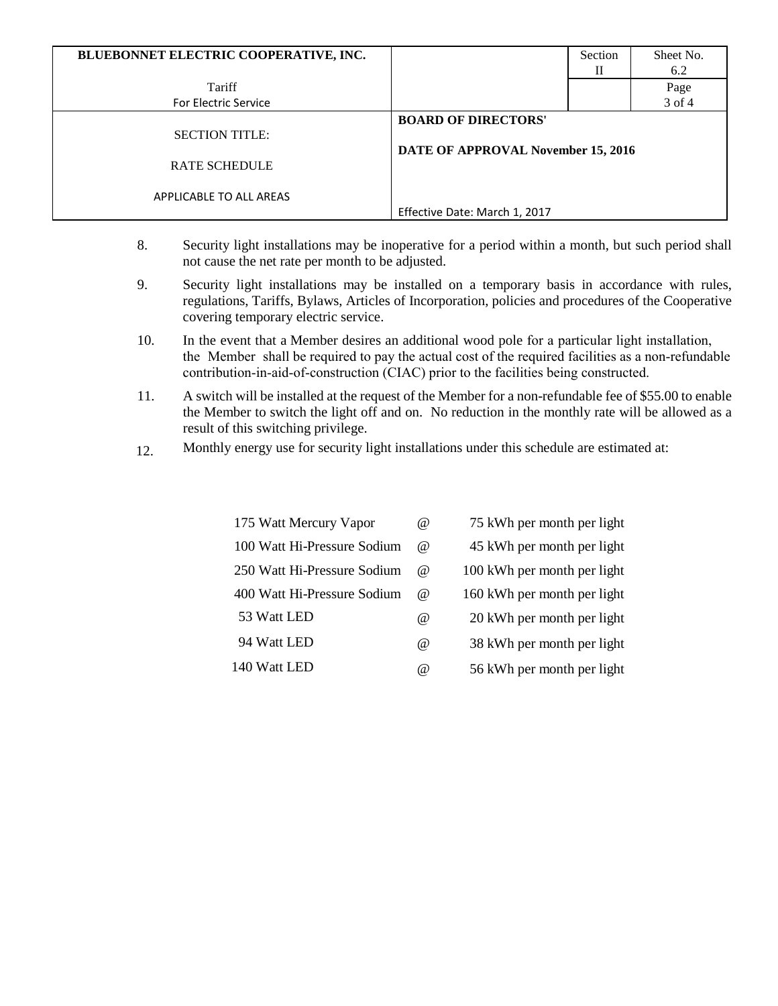| BLUEBONNET ELECTRIC COOPERATIVE, INC.         |                                                                  | Section<br>П | Sheet No.<br>6.2 |
|-----------------------------------------------|------------------------------------------------------------------|--------------|------------------|
| Tariff                                        |                                                                  |              | Page             |
| <b>For Electric Service</b>                   |                                                                  |              | 3 of 4           |
| <b>SECTION TITLE:</b><br><b>RATE SCHEDULE</b> | <b>BOARD OF DIRECTORS'</b><br>DATE OF APPROVAL November 15, 2016 |              |                  |
| APPLICABLE TO ALL AREAS                       | Effective Date: March 1, 2017                                    |              |                  |

- 8. Security light installations may be inoperative for a period within a month, but such period shall not cause the net rate per month to be adjusted.
- 9. Security light installations may be installed on a temporary basis in accordance with rules, regulations, Tariffs, Bylaws, Articles of Incorporation, policies and procedures of the Cooperative covering temporary electric service.
- 10. In the event that a Member desires an additional wood pole for a particular light installation, the Member shall be required to pay the actual cost of the required facilities as a non-refundable contribution-in-aid-of-construction (CIAC) prior to the facilities being constructed.
- 11. A switch will be installed at the request of the Member for a non-refundable fee of \$55.00 to enable the Member to switch the light off and on. No reduction in the monthly rate will be allowed as a result of this switching privilege.
- 12. Monthly energy use for security light installations under this schedule are estimated at:

| 175 Watt Mercury Vapor      | $\omega$ | 75 kWh per month per light  |
|-----------------------------|----------|-----------------------------|
| 100 Watt Hi-Pressure Sodium | $\omega$ | 45 kWh per month per light  |
| 250 Watt Hi-Pressure Sodium | $\omega$ | 100 kWh per month per light |
| 400 Watt Hi-Pressure Sodium | $\omega$ | 160 kWh per month per light |
| 53 Watt LED                 | @        | 20 kWh per month per light  |
| 94 Watt LED                 | $\omega$ | 38 kWh per month per light  |
| 140 Watt LED                | $\omega$ | 56 kWh per month per light  |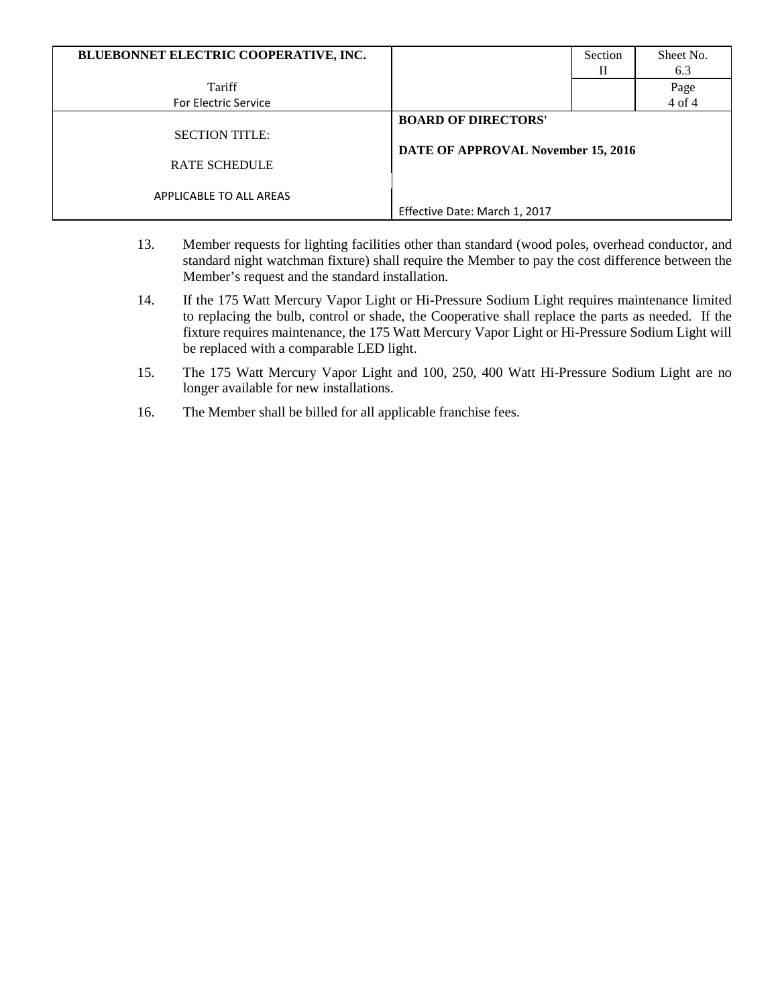| BLUEBONNET ELECTRIC COOPERATIVE, INC. |                                    | Section | Sheet No. |  |
|---------------------------------------|------------------------------------|---------|-----------|--|
|                                       |                                    | Н       | 6.3       |  |
| Tariff                                |                                    |         | Page      |  |
| <b>For Electric Service</b>           |                                    |         | 4 of 4    |  |
|                                       | <b>BOARD OF DIRECTORS'</b>         |         |           |  |
| <b>SECTION TITLE:</b>                 |                                    |         |           |  |
|                                       | DATE OF APPROVAL November 15, 2016 |         |           |  |
| <b>RATE SCHEDULE</b>                  |                                    |         |           |  |
|                                       |                                    |         |           |  |
| APPLICABLE TO ALL AREAS               |                                    |         |           |  |
|                                       | Effective Date: March 1, 2017      |         |           |  |

- 13. Member requests for lighting facilities other than standard (wood poles, overhead conductor, and standard night watchman fixture) shall require the Member to pay the cost difference between the Member's request and the standard installation.
- 14. If the 175 Watt Mercury Vapor Light or Hi-Pressure Sodium Light requires maintenance limited to replacing the bulb, control or shade, the Cooperative shall replace the parts as needed. If the fixture requires maintenance, the 175 Watt Mercury Vapor Light or Hi-Pressure Sodium Light will be replaced with a comparable LED light.
- 15. The 175 Watt Mercury Vapor Light and 100, 250, 400 Watt Hi-Pressure Sodium Light are no longer available for new installations.
- 16. The Member shall be billed for all applicable franchise fees.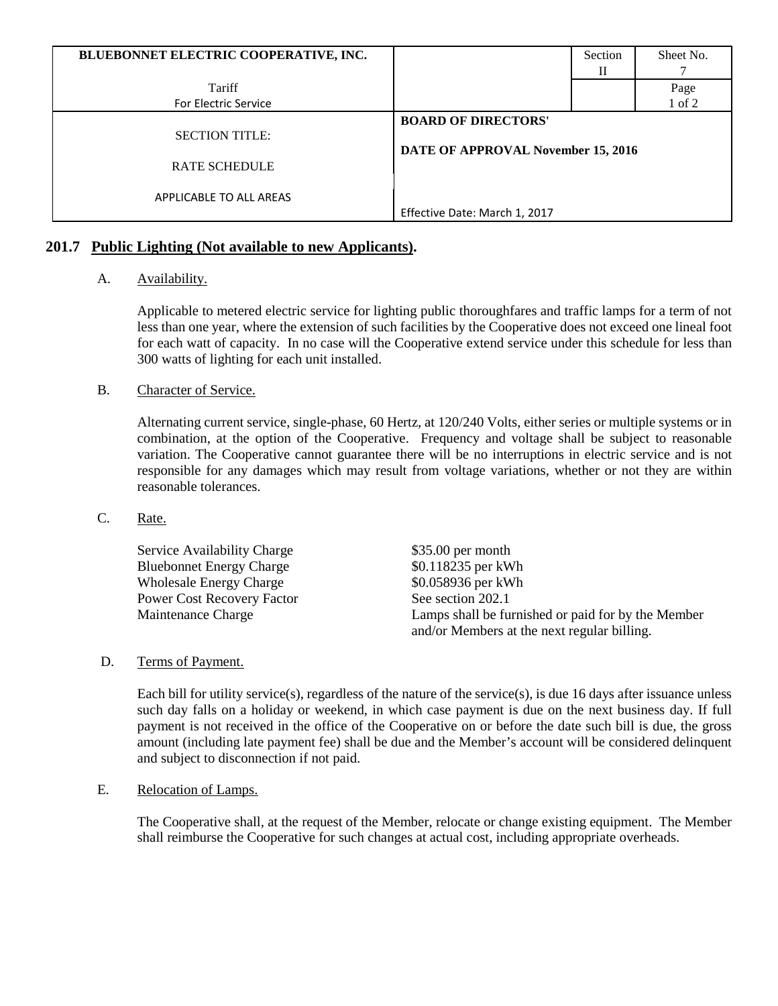| BLUEBONNET ELECTRIC COOPERATIVE, INC. |                                    | Section | Sheet No. |
|---------------------------------------|------------------------------------|---------|-----------|
|                                       |                                    | Н       |           |
| Tariff                                |                                    |         | Page      |
| For Electric Service                  |                                    |         | 1 of 2    |
|                                       | <b>BOARD OF DIRECTORS'</b>         |         |           |
| <b>SECTION TITLE:</b>                 |                                    |         |           |
|                                       | DATE OF APPROVAL November 15, 2016 |         |           |
| <b>RATE SCHEDULE</b>                  |                                    |         |           |
|                                       |                                    |         |           |
| APPLICABLE TO ALL AREAS               |                                    |         |           |
|                                       | Effective Date: March 1, 2017      |         |           |

# **201.7 Public Lighting (Not available to new Applicants).**

# A. Availability.

Applicable to metered electric service for lighting public thoroughfares and traffic lamps for a term of not less than one year, where the extension of such facilities by the Cooperative does not exceed one lineal foot for each watt of capacity. In no case will the Cooperative extend service under this schedule for less than 300 watts of lighting for each unit installed.

# B. Character of Service.

Alternating current service, single-phase, 60 Hertz, at 120/240 Volts, either series or multiple systems or in combination, at the option of the Cooperative. Frequency and voltage shall be subject to reasonable variation. The Cooperative cannot guarantee there will be no interruptions in electric service and is not responsible for any damages which may result from voltage variations, whether or not they are within reasonable tolerances.

# C. Rate.

| Service Availability Charge       | $$35.00$ per month                                                                                |
|-----------------------------------|---------------------------------------------------------------------------------------------------|
| <b>Bluebonnet Energy Charge</b>   | \$0.118235 per kWh                                                                                |
| <b>Wholesale Energy Charge</b>    | \$0.058936 per kWh                                                                                |
| <b>Power Cost Recovery Factor</b> | See section 202.1                                                                                 |
| Maintenance Charge                | Lamps shall be furnished or paid for by the Member<br>and/or Members at the next regular billing. |

# D. Terms of Payment.

Each bill for utility service(s), regardless of the nature of the service(s), is due 16 days after issuance unless such day falls on a holiday or weekend, in which case payment is due on the next business day. If full payment is not received in the office of the Cooperative on or before the date such bill is due, the gross amount (including late payment fee) shall be due and the Member's account will be considered delinquent and subject to disconnection if not paid.

# E. Relocation of Lamps.

The Cooperative shall, at the request of the Member, relocate or change existing equipment. The Member shall reimburse the Cooperative for such changes at actual cost, including appropriate overheads.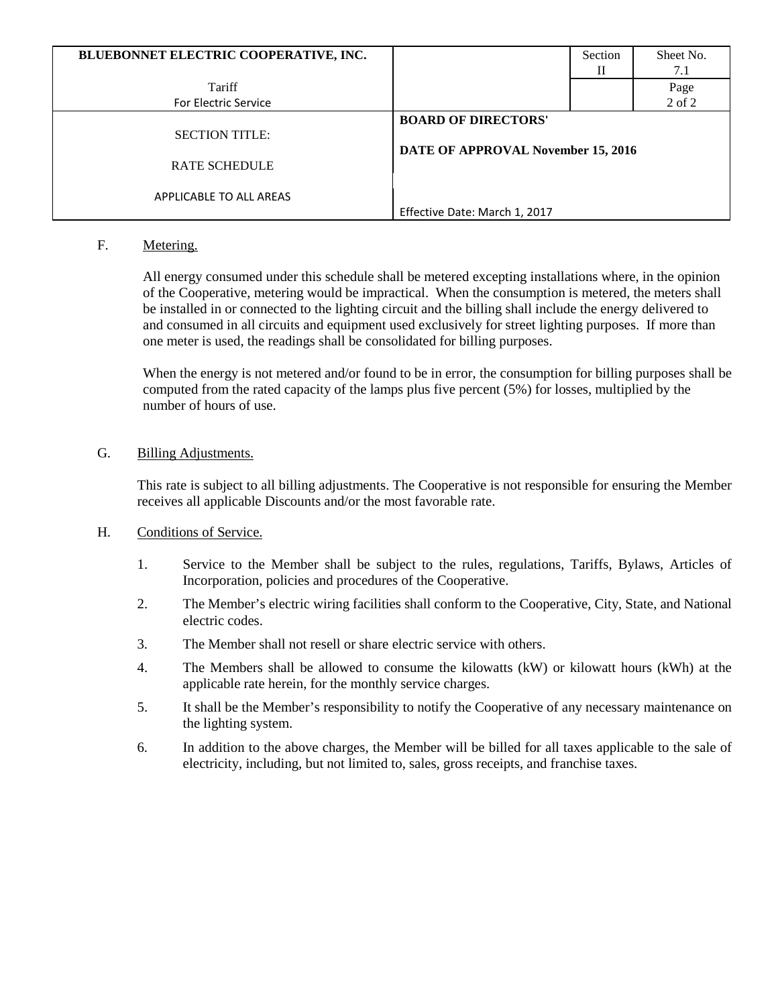| BLUEBONNET ELECTRIC COOPERATIVE, INC. |                                    | Section | Sheet No. |
|---------------------------------------|------------------------------------|---------|-----------|
|                                       |                                    | Н       | 7.1       |
| Tariff                                |                                    |         | Page      |
| <b>For Electric Service</b>           |                                    |         | 2 of 2    |
|                                       | <b>BOARD OF DIRECTORS'</b>         |         |           |
| <b>SECTION TITLE:</b>                 |                                    |         |           |
|                                       | DATE OF APPROVAL November 15, 2016 |         |           |
| <b>RATE SCHEDULE</b>                  |                                    |         |           |
|                                       |                                    |         |           |
| APPLICABLE TO ALL AREAS               |                                    |         |           |
|                                       | Effective Date: March 1, 2017      |         |           |

# F. Metering.

All energy consumed under this schedule shall be metered excepting installations where, in the opinion of the Cooperative, metering would be impractical. When the consumption is metered, the meters shall be installed in or connected to the lighting circuit and the billing shall include the energy delivered to and consumed in all circuits and equipment used exclusively for street lighting purposes. If more than one meter is used, the readings shall be consolidated for billing purposes.

When the energy is not metered and/or found to be in error, the consumption for billing purposes shall be computed from the rated capacity of the lamps plus five percent (5%) for losses, multiplied by the number of hours of use.

# G. Billing Adjustments.

This rate is subject to all billing adjustments. The Cooperative is not responsible for ensuring the Member receives all applicable Discounts and/or the most favorable rate.

# H. Conditions of Service.

- 1. Service to the Member shall be subject to the rules, regulations, Tariffs, Bylaws, Articles of Incorporation, policies and procedures of the Cooperative.
- 2. The Member's electric wiring facilities shall conform to the Cooperative, City, State, and National electric codes.
- 3. The Member shall not resell or share electric service with others.
- 4. The Members shall be allowed to consume the kilowatts (kW) or kilowatt hours (kWh) at the applicable rate herein, for the monthly service charges.
- 5. It shall be the Member's responsibility to notify the Cooperative of any necessary maintenance on the lighting system.
- 6. In addition to the above charges, the Member will be billed for all taxes applicable to the sale of electricity, including, but not limited to, sales, gross receipts, and franchise taxes.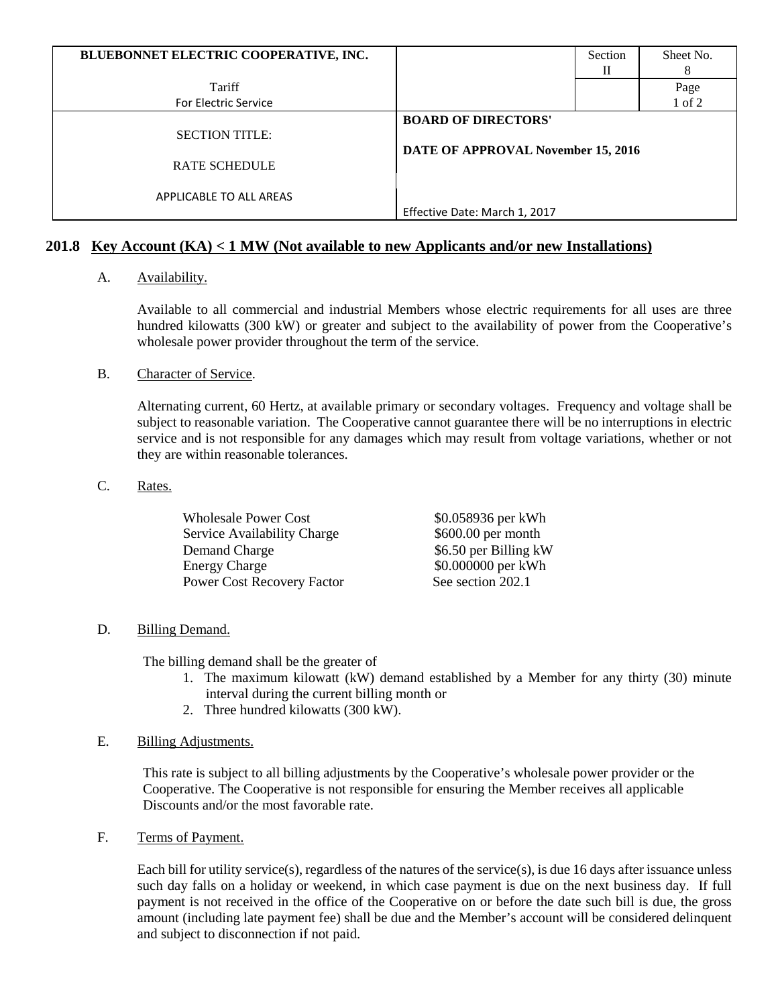| BLUEBONNET ELECTRIC COOPERATIVE, INC. |                                    | Section | Sheet No. |
|---------------------------------------|------------------------------------|---------|-----------|
|                                       |                                    | Н       |           |
| Tariff                                |                                    |         | Page      |
| For Electric Service                  |                                    |         | 1 of 2    |
|                                       | <b>BOARD OF DIRECTORS'</b>         |         |           |
| <b>SECTION TITLE:</b>                 | DATE OF APPROVAL November 15, 2016 |         |           |
|                                       |                                    |         |           |
| <b>RATE SCHEDULE</b>                  |                                    |         |           |
|                                       |                                    |         |           |
| APPLICABLE TO ALL AREAS               |                                    |         |           |
|                                       | Effective Date: March 1, 2017      |         |           |

# **201.8 Key Account (KA) < 1 MW (Not available to new Applicants and/or new Installations)**

# A. Availability.

Available to all commercial and industrial Members whose electric requirements for all uses are three hundred kilowatts (300 kW) or greater and subject to the availability of power from the Cooperative's wholesale power provider throughout the term of the service.

#### B. Character of Service.

Alternating current, 60 Hertz, at available primary or secondary voltages. Frequency and voltage shall be subject to reasonable variation. The Cooperative cannot guarantee there will be no interruptions in electric service and is not responsible for any damages which may result from voltage variations, whether or not they are within reasonable tolerances.

#### C. Rates.

| <b>Wholesale Power Cost</b>       | \$0.058936 per kWh    |
|-----------------------------------|-----------------------|
| Service Availability Charge       | $$600.00$ per month   |
| Demand Charge                     | \$6.50 per Billing kW |
| <b>Energy Charge</b>              | \$0.000000 per kWh    |
| <b>Power Cost Recovery Factor</b> | See section 202.1     |

# D. Billing Demand.

The billing demand shall be the greater of

- 1. The maximum kilowatt (kW) demand established by a Member for any thirty (30) minute interval during the current billing month or
- 2. Three hundred kilowatts (300 kW).

# E. Billing Adjustments.

This rate is subject to all billing adjustments by the Cooperative's wholesale power provider or the Cooperative. The Cooperative is not responsible for ensuring the Member receives all applicable Discounts and/or the most favorable rate.

F. Terms of Payment.

Each bill for utility service(s), regardless of the natures of the service(s), is due 16 days after issuance unless such day falls on a holiday or weekend, in which case payment is due on the next business day. If full payment is not received in the office of the Cooperative on or before the date such bill is due, the gross amount (including late payment fee) shall be due and the Member's account will be considered delinquent and subject to disconnection if not paid.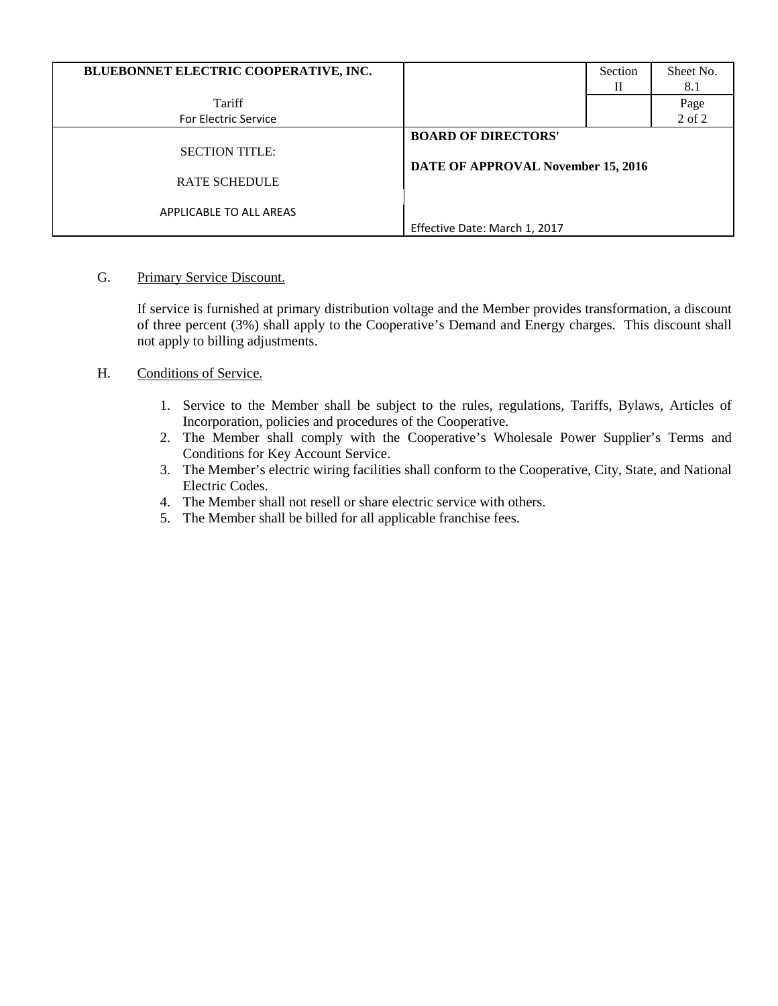| BLUEBONNET ELECTRIC COOPERATIVE, INC.         |                                                                  | Section<br>П | Sheet No.<br>8.1 |
|-----------------------------------------------|------------------------------------------------------------------|--------------|------------------|
| Tariff                                        |                                                                  |              | Page             |
| <b>For Electric Service</b>                   |                                                                  |              | 2 of 2           |
| <b>SECTION TITLE:</b><br><b>RATE SCHEDULE</b> | <b>BOARD OF DIRECTORS'</b><br>DATE OF APPROVAL November 15, 2016 |              |                  |
| APPLICABLE TO ALL AREAS                       | Effective Date: March 1, 2017                                    |              |                  |

# G. Primary Service Discount.

If service is furnished at primary distribution voltage and the Member provides transformation, a discount of three percent (3%) shall apply to the Cooperative's Demand and Energy charges. This discount shall not apply to billing adjustments.

# H. Conditions of Service.

- 1. Service to the Member shall be subject to the rules, regulations, Tariffs, Bylaws, Articles of Incorporation, policies and procedures of the Cooperative.
- 2. The Member shall comply with the Cooperative's Wholesale Power Supplier's Terms and Conditions for Key Account Service.
- 3. The Member's electric wiring facilities shall conform to the Cooperative, City, State, and National Electric Codes.
- 4. The Member shall not resell or share electric service with others.
- 5. The Member shall be billed for all applicable franchise fees.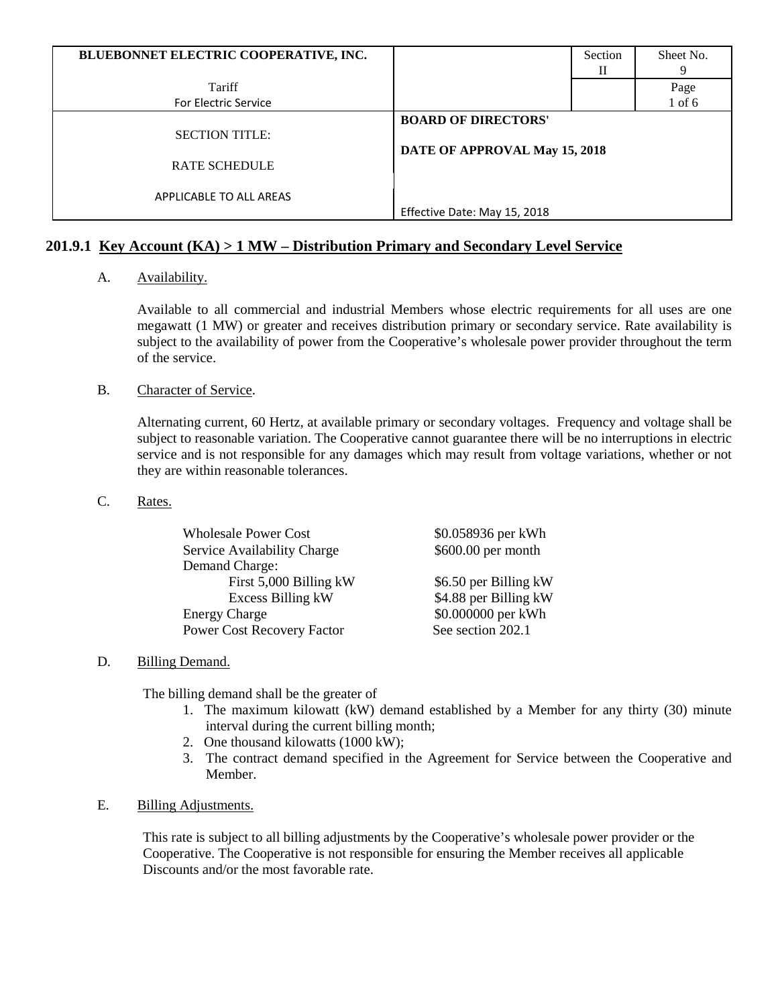| BLUEBONNET ELECTRIC COOPERATIVE, INC. |                               | Section | Sheet No.  |
|---------------------------------------|-------------------------------|---------|------------|
|                                       |                               | Н       | 9          |
| Tariff                                |                               |         | Page       |
| <b>For Electric Service</b>           |                               |         | $1$ of $6$ |
|                                       | <b>BOARD OF DIRECTORS'</b>    |         |            |
| <b>SECTION TITLE:</b>                 |                               |         |            |
|                                       | DATE OF APPROVAL May 15, 2018 |         |            |
| <b>RATE SCHEDULE</b>                  |                               |         |            |
|                                       |                               |         |            |
| APPLICABLE TO ALL AREAS               |                               |         |            |
|                                       | Effective Date: May 15, 2018  |         |            |

# **201.9.1 Key Account (KA) > 1 MW – Distribution Primary and Secondary Level Service**

# A. Availability.

Available to all commercial and industrial Members whose electric requirements for all uses are one megawatt (1 MW) or greater and receives distribution primary or secondary service. Rate availability is subject to the availability of power from the Cooperative's wholesale power provider throughout the term of the service.

# B. Character of Service.

Alternating current, 60 Hertz, at available primary or secondary voltages. Frequency and voltage shall be subject to reasonable variation. The Cooperative cannot guarantee there will be no interruptions in electric service and is not responsible for any damages which may result from voltage variations, whether or not they are within reasonable tolerances.

#### C. Rates.

| <b>Wholesale Power Cost</b> | \$0.058936 per kWh    |
|-----------------------------|-----------------------|
| Service Availability Charge | \$600.00 per month    |
| Demand Charge:              |                       |
| First 5,000 Billing kW      | \$6.50 per Billing kW |
| Excess Billing kW           | \$4.88 per Billing kW |
| <b>Energy Charge</b>        | \$0.000000 per kWh    |
| Power Cost Recovery Factor  | See section 202.1     |

# D. Billing Demand.

The billing demand shall be the greater of

- 1. The maximum kilowatt (kW) demand established by a Member for any thirty (30) minute interval during the current billing month;
- 2. One thousand kilowatts (1000 kW);
- 3. The contract demand specified in the Agreement for Service between the Cooperative and Member.

# E. Billing Adjustments.

This rate is subject to all billing adjustments by the Cooperative's wholesale power provider or the Cooperative. The Cooperative is not responsible for ensuring the Member receives all applicable Discounts and/or the most favorable rate.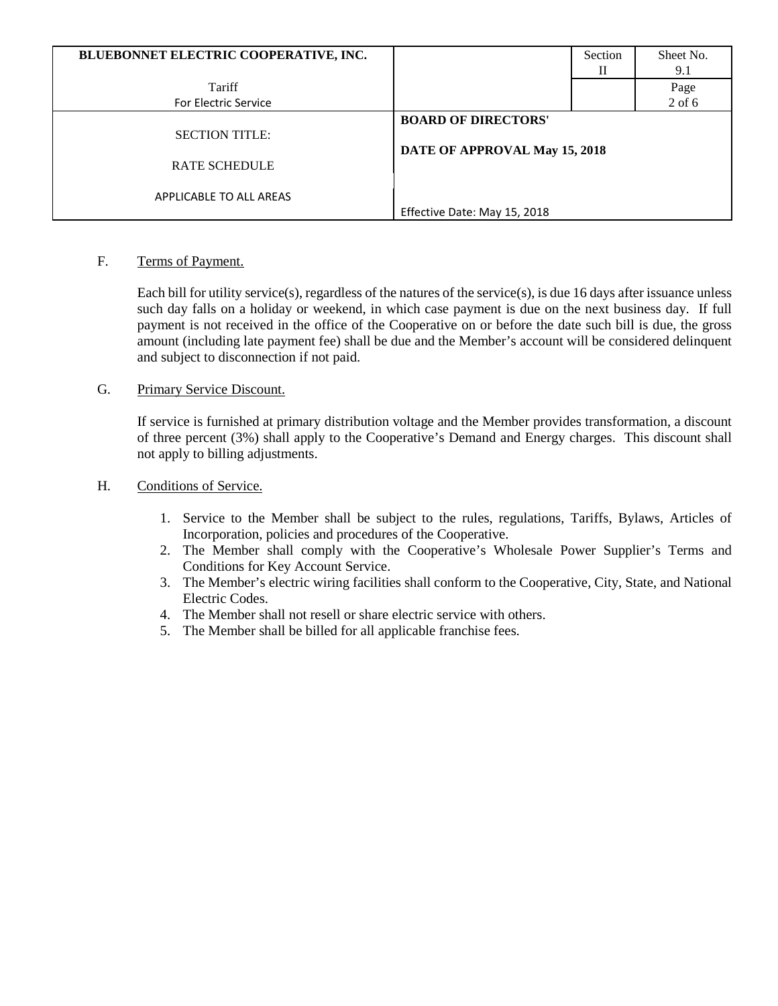| BLUEBONNET ELECTRIC COOPERATIVE, INC. |                               | Section | Sheet No. |
|---------------------------------------|-------------------------------|---------|-----------|
|                                       |                               | П       | 9.1       |
| Tariff                                |                               |         | Page      |
| <b>For Electric Service</b>           |                               |         | $2$ of 6  |
|                                       | <b>BOARD OF DIRECTORS'</b>    |         |           |
| <b>SECTION TITLE:</b>                 |                               |         |           |
|                                       | DATE OF APPROVAL May 15, 2018 |         |           |
| <b>RATE SCHEDULE</b>                  |                               |         |           |
|                                       |                               |         |           |
| APPLICABLE TO ALL AREAS               |                               |         |           |
|                                       | Effective Date: May 15, 2018  |         |           |

# F. Terms of Payment.

Each bill for utility service(s), regardless of the natures of the service(s), is due 16 days after issuance unless such day falls on a holiday or weekend, in which case payment is due on the next business day. If full payment is not received in the office of the Cooperative on or before the date such bill is due, the gross amount (including late payment fee) shall be due and the Member's account will be considered delinquent and subject to disconnection if not paid.

# G. Primary Service Discount.

If service is furnished at primary distribution voltage and the Member provides transformation, a discount of three percent (3%) shall apply to the Cooperative's Demand and Energy charges. This discount shall not apply to billing adjustments.

# H. Conditions of Service.

- 1. Service to the Member shall be subject to the rules, regulations, Tariffs, Bylaws, Articles of Incorporation, policies and procedures of the Cooperative.
- 2. The Member shall comply with the Cooperative's Wholesale Power Supplier's Terms and Conditions for Key Account Service.
- 3. The Member's electric wiring facilities shall conform to the Cooperative, City, State, and National Electric Codes.
- 4. The Member shall not resell or share electric service with others.
- 5. The Member shall be billed for all applicable franchise fees.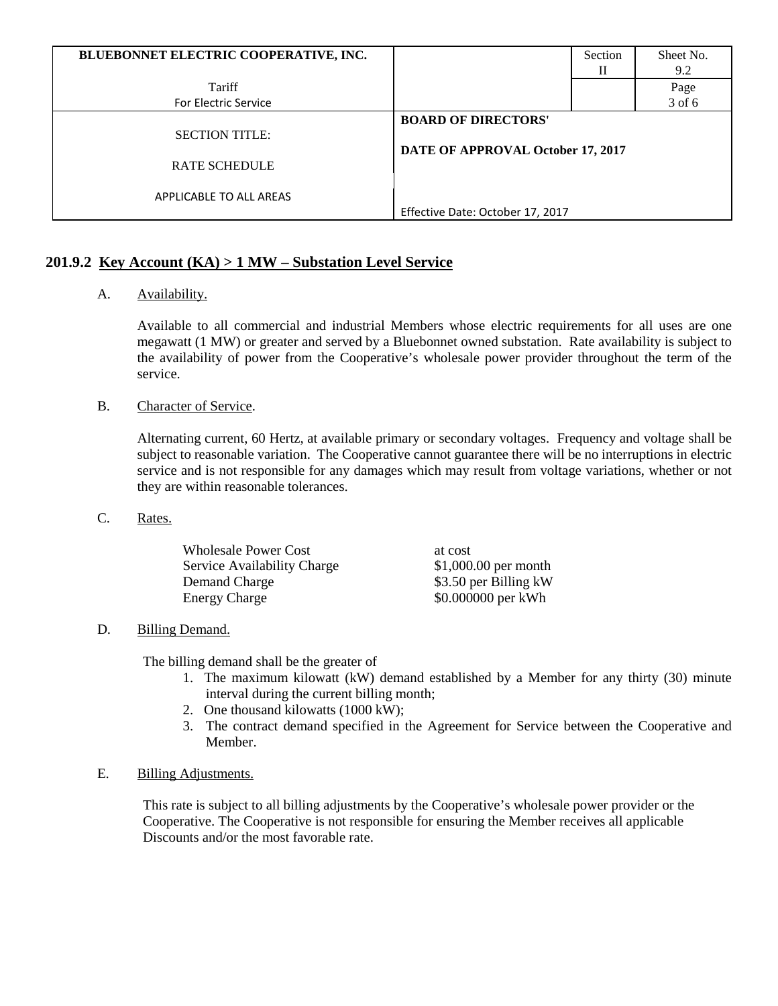| BLUEBONNET ELECTRIC COOPERATIVE, INC. |                                   | Section | Sheet No. |
|---------------------------------------|-----------------------------------|---------|-----------|
|                                       |                                   | Н       | 9.2       |
| Tariff                                |                                   |         | Page      |
| <b>For Electric Service</b>           |                                   |         | 3 of 6    |
|                                       | <b>BOARD OF DIRECTORS'</b>        |         |           |
| <b>SECTION TITLE:</b>                 |                                   |         |           |
|                                       | DATE OF APPROVAL October 17, 2017 |         |           |
| <b>RATE SCHEDULE</b>                  |                                   |         |           |
|                                       |                                   |         |           |
| APPLICABLE TO ALL AREAS               |                                   |         |           |
|                                       | Effective Date: October 17, 2017  |         |           |

# **201.9.2 Key Account (KA) > 1 MW – Substation Level Service**

# A. Availability.

Available to all commercial and industrial Members whose electric requirements for all uses are one megawatt (1 MW) or greater and served by a Bluebonnet owned substation. Rate availability is subject to the availability of power from the Cooperative's wholesale power provider throughout the term of the service.

# B. Character of Service.

Alternating current, 60 Hertz, at available primary or secondary voltages. Frequency and voltage shall be subject to reasonable variation. The Cooperative cannot guarantee there will be no interruptions in electric service and is not responsible for any damages which may result from voltage variations, whether or not they are within reasonable tolerances.

# C. Rates.

| <b>Wholesale Power Cost</b> | at cost               |
|-----------------------------|-----------------------|
| Service Availability Charge | $$1,000.00$ per month |
| Demand Charge               | \$3.50 per Billing kW |
| <b>Energy Charge</b>        | \$0.000000 per kWh    |

# D. Billing Demand.

The billing demand shall be the greater of

- 1. The maximum kilowatt (kW) demand established by a Member for any thirty (30) minute interval during the current billing month;
- 2. One thousand kilowatts (1000 kW);
- 3. The contract demand specified in the Agreement for Service between the Cooperative and Member.

# E. Billing Adjustments.

This rate is subject to all billing adjustments by the Cooperative's wholesale power provider or the Cooperative. The Cooperative is not responsible for ensuring the Member receives all applicable Discounts and/or the most favorable rate.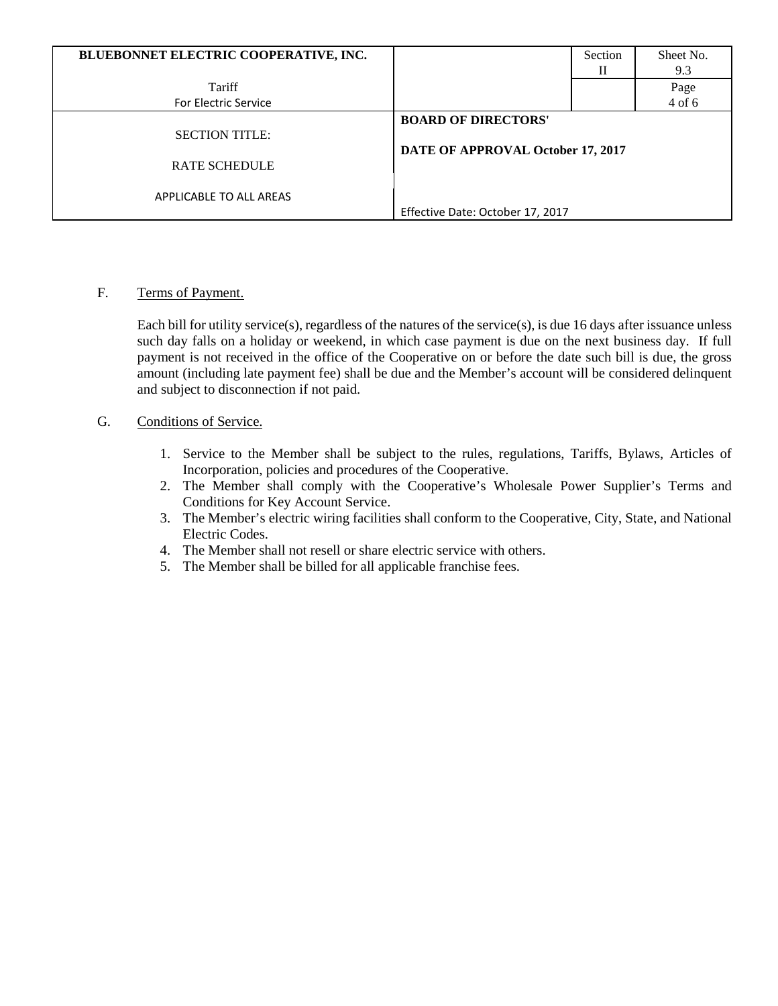| BLUEBONNET ELECTRIC COOPERATIVE, INC. |                                   | Section<br>П | Sheet No.<br>9.3 |
|---------------------------------------|-----------------------------------|--------------|------------------|
| Tariff                                |                                   |              | Page             |
| <b>For Electric Service</b>           |                                   |              | 4 of 6           |
|                                       | <b>BOARD OF DIRECTORS'</b>        |              |                  |
| <b>SECTION TITLE:</b>                 |                                   |              |                  |
| <b>RATE SCHEDULE</b>                  | DATE OF APPROVAL October 17, 2017 |              |                  |
| APPLICABLE TO ALL AREAS               |                                   |              |                  |
|                                       | Effective Date: October 17, 2017  |              |                  |

# F. Terms of Payment.

Each bill for utility service(s), regardless of the natures of the service(s), is due 16 days after issuance unless such day falls on a holiday or weekend, in which case payment is due on the next business day. If full payment is not received in the office of the Cooperative on or before the date such bill is due, the gross amount (including late payment fee) shall be due and the Member's account will be considered delinquent and subject to disconnection if not paid.

# G. Conditions of Service.

- 1. Service to the Member shall be subject to the rules, regulations, Tariffs, Bylaws, Articles of Incorporation, policies and procedures of the Cooperative.
- 2. The Member shall comply with the Cooperative's Wholesale Power Supplier's Terms and Conditions for Key Account Service.
- 3. The Member's electric wiring facilities shall conform to the Cooperative, City, State, and National Electric Codes.
- 4. The Member shall not resell or share electric service with others.
- 5. The Member shall be billed for all applicable franchise fees.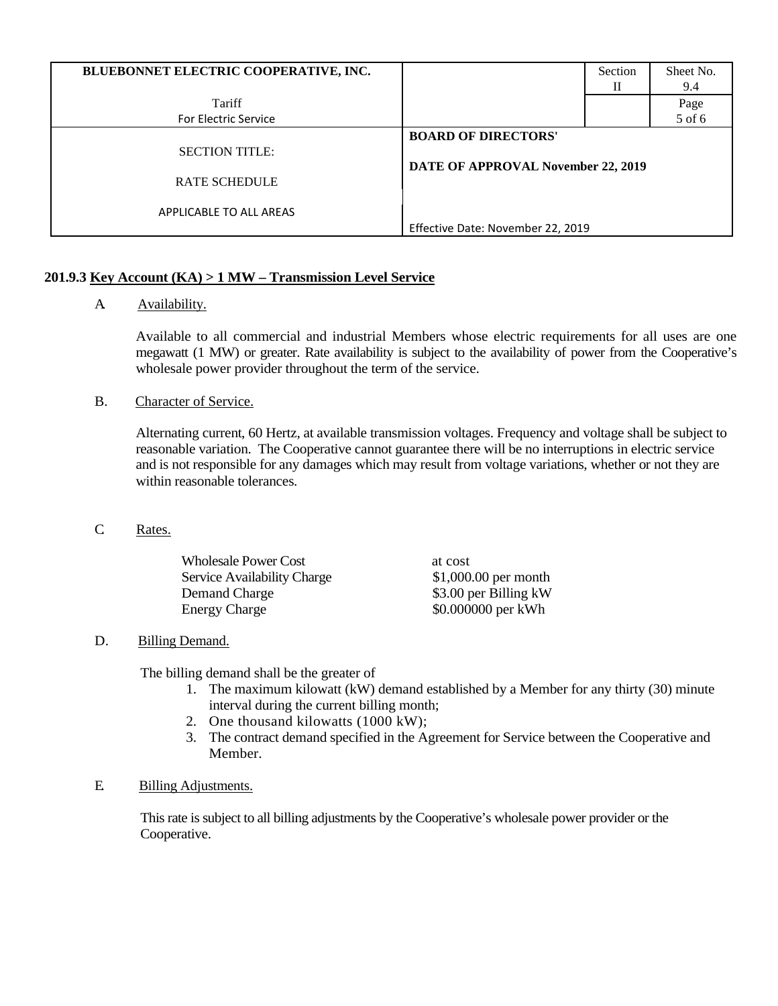| BLUEBONNET ELECTRIC COOPERATIVE, INC.         |                                                                  | Section | Sheet No.<br>9.4 |
|-----------------------------------------------|------------------------------------------------------------------|---------|------------------|
| Tariff                                        |                                                                  |         | Page             |
| <b>For Electric Service</b>                   |                                                                  |         | 5 of 6           |
| <b>SECTION TITLE:</b><br><b>RATE SCHEDULE</b> | <b>BOARD OF DIRECTORS'</b><br>DATE OF APPROVAL November 22, 2019 |         |                  |
| APPLICABLE TO ALL AREAS                       | Effective Date: November 22, 2019                                |         |                  |

# **201.9.3 Key Account (KA) > 1 MW – Transmission Level Service**

A. Availability.

Available to all commercial and industrial Members whose electric requirements for all uses are one megawatt (1 MW) or greater. Rate availability is subject to the availability of power from the Cooperative's wholesale power provider throughout the term of the service.

B. Character of Service.

Alternating current, 60 Hertz, at available transmission voltages. Frequency and voltage shall be subject to reasonable variation. The Cooperative cannot guarantee there will be no interruptions in electric service and is not responsible for any damages which may result from voltage variations, whether or not they are within reasonable tolerances.

C. Rates.

| <b>Wholesale Power Cost</b>        | at cost               |
|------------------------------------|-----------------------|
| <b>Service Availability Charge</b> | $$1,000.00$ per month |
| Demand Charge                      | \$3.00 per Billing kW |
| Energy Charge                      | \$0.000000 per kWh    |

# D. Billing Demand.

The billing demand shall be the greater of

- 1. The maximum kilowatt (kW) demand established by a Member for any thirty (30) minute interval during the current billing month;
- 2. One thousand kilowatts (1000 kW);
- 3. The contract demand specified in the Agreement for Service between the Cooperative and Member.

# E. Billing Adjustments.

This rate is subject to all billing adjustments by the Cooperative's wholesale power provider or the Cooperative.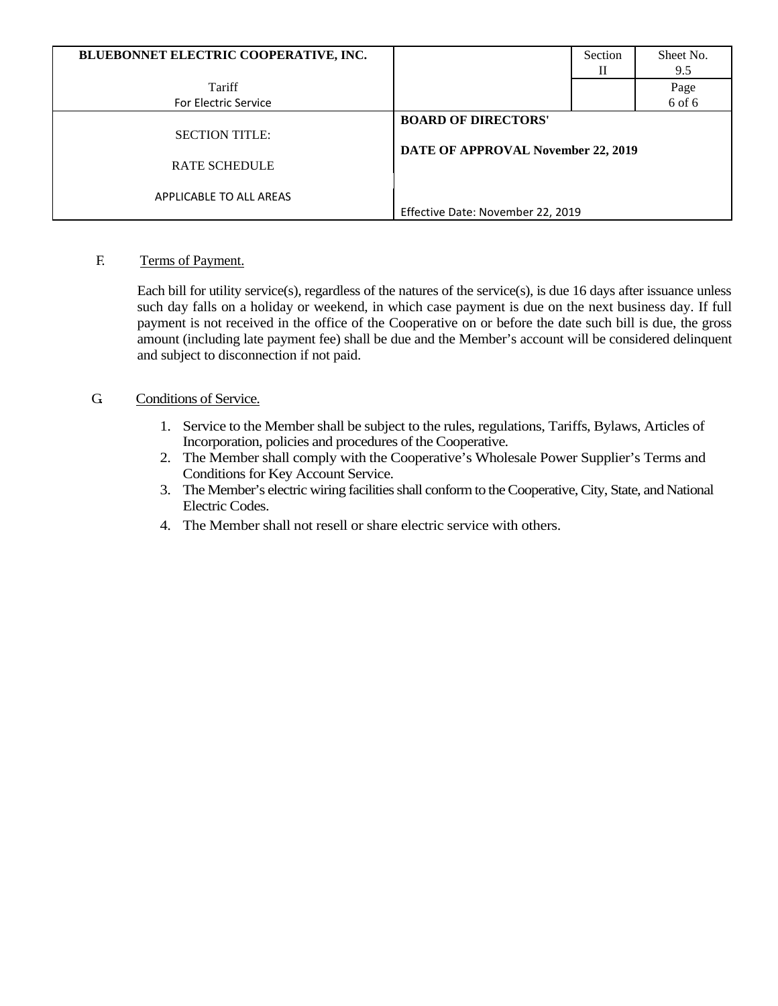| BLUEBONNET ELECTRIC COOPERATIVE, INC. |                                    | Section | Sheet No. |
|---------------------------------------|------------------------------------|---------|-----------|
|                                       |                                    | Н       | 9.5       |
| Tariff                                |                                    |         | Page      |
| <b>For Electric Service</b>           |                                    |         | 6 of 6    |
|                                       | <b>BOARD OF DIRECTORS'</b>         |         |           |
| <b>SECTION TITLE:</b>                 |                                    |         |           |
|                                       | DATE OF APPROVAL November 22, 2019 |         |           |
| <b>RATE SCHEDULE</b>                  |                                    |         |           |
|                                       |                                    |         |           |
| APPLICABLE TO ALL AREAS               |                                    |         |           |
|                                       | Effective Date: November 22, 2019  |         |           |

# F. Terms of Payment.

Each bill for utility service(s), regardless of the natures of the service(s), is due 16 days after issuance unless such day falls on a holiday or weekend, in which case payment is due on the next business day. If full payment is not received in the office of the Cooperative on or before the date such bill is due, the gross amount (including late payment fee) shall be due and the Member's account will be considered delinquent and subject to disconnection if not paid.

# G. Conditions of Service.

- 1. Service to the Member shall be subject to the rules, regulations, Tariffs, Bylaws, Articles of Incorporation, policies and procedures of the Cooperative.
- 2. The Member shall comply with the Cooperative's Wholesale Power Supplier's Terms and Conditions for Key Account Service.
- 3. The Member's electric wiring facilities shall conform to the Cooperative, City, State, and National Electric Codes.
- 4. The Member shall not resell or share electric service with others.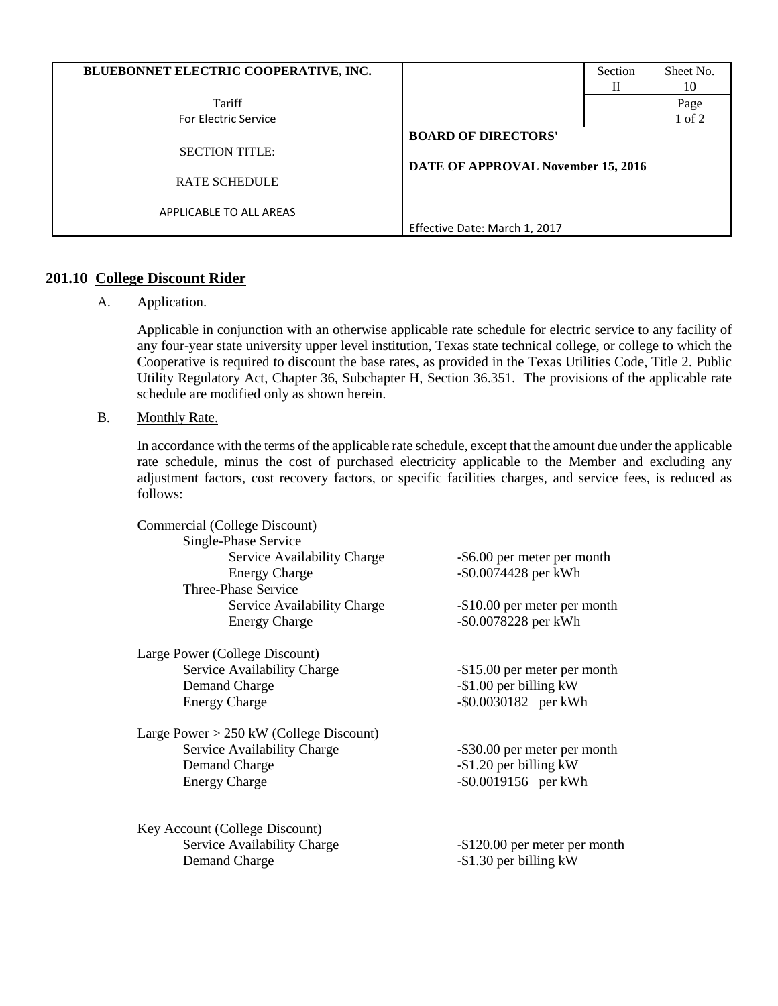| BLUEBONNET ELECTRIC COOPERATIVE, INC.         |                                                                  | Section<br>П | Sheet No.<br>10 |
|-----------------------------------------------|------------------------------------------------------------------|--------------|-----------------|
| Tariff                                        |                                                                  |              | Page            |
| For Electric Service                          |                                                                  |              | 1 of 2          |
| <b>SECTION TITLE:</b><br><b>RATE SCHEDULE</b> | <b>BOARD OF DIRECTORS'</b><br>DATE OF APPROVAL November 15, 2016 |              |                 |
| APPLICABLE TO ALL AREAS                       | Effective Date: March 1, 2017                                    |              |                 |

# **201.10 College Discount Rider**

A. Application.

Applicable in conjunction with an otherwise applicable rate schedule for electric service to any facility of any four-year state university upper level institution, Texas state technical college, or college to which the Cooperative is required to discount the base rates, as provided in the Texas Utilities Code, Title 2. Public Utility Regulatory Act, Chapter 36, Subchapter H, Section 36.351. The provisions of the applicable rate schedule are modified only as shown herein.

B. Monthly Rate.

In accordance with the terms of the applicable rate schedule, except that the amount due under the applicable rate schedule, minus the cost of purchased electricity applicable to the Member and excluding any adjustment factors, cost recovery factors, or specific facilities charges, and service fees, is reduced as follows:

| Commercial (College Discount)             |                               |
|-------------------------------------------|-------------------------------|
| Single-Phase Service                      |                               |
| Service Availability Charge               | -\$6.00 per meter per month   |
| <b>Energy Charge</b>                      | -\$0.0074428 per kWh          |
| Three-Phase Service                       |                               |
| Service Availability Charge               | -\$10.00 per meter per month  |
| <b>Energy Charge</b>                      | -\$0.0078228 per kWh          |
| Large Power (College Discount)            |                               |
| Service Availability Charge               | -\$15.00 per meter per month  |
| Demand Charge                             | $-$ \$1.00 per billing kW     |
| <b>Energy Charge</b>                      | $-$ \$0.0030182 per kWh       |
| Large Power $> 250$ kW (College Discount) |                               |
| Service Availability Charge               | -\$30.00 per meter per month  |
| Demand Charge                             | $-$ \$1.20 per billing kW     |
| <b>Energy Charge</b>                      | $-$ \$0.0019156 per kWh       |
| Key Account (College Discount)            |                               |
| Service Availability Charge               | -\$120.00 per meter per month |
| Demand Charge                             | $-$ \$1.30 per billing kW     |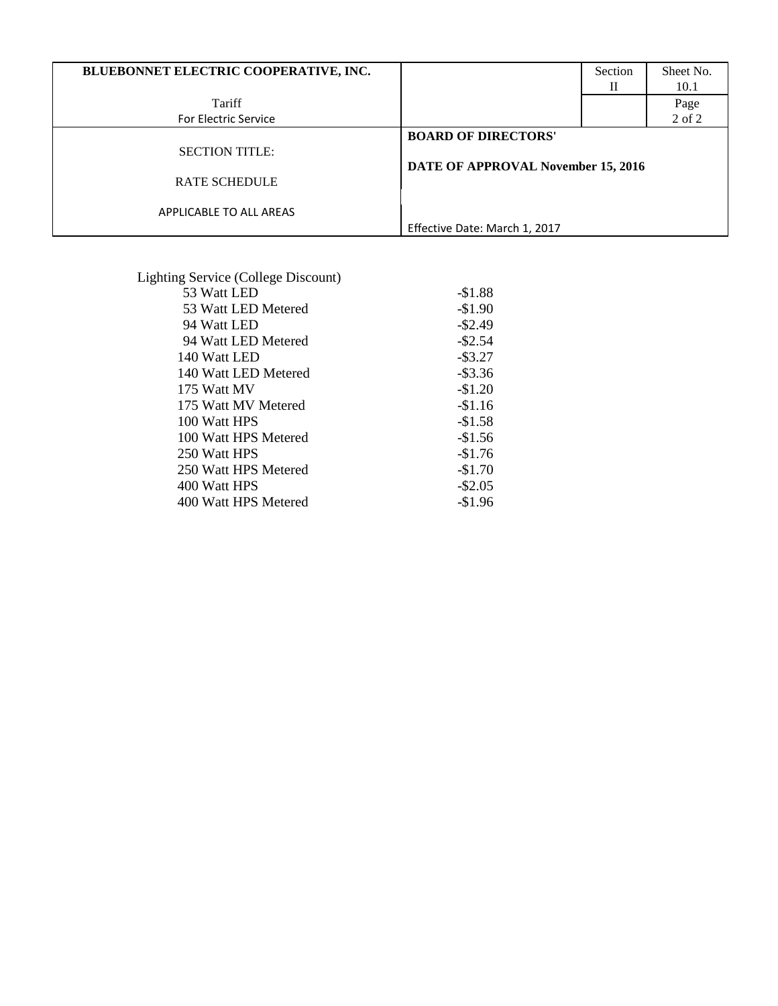| BLUEBONNET ELECTRIC COOPERATIVE, INC.         |                                                                  | Section<br>П | Sheet No.<br>10.1 |
|-----------------------------------------------|------------------------------------------------------------------|--------------|-------------------|
| Tariff                                        |                                                                  |              | Page              |
| <b>For Electric Service</b>                   |                                                                  |              | $2$ of $2$        |
| <b>SECTION TITLE:</b><br><b>RATE SCHEDULE</b> | <b>BOARD OF DIRECTORS'</b><br>DATE OF APPROVAL November 15, 2016 |              |                   |
| APPLICABLE TO ALL AREAS                       | Effective Date: March 1, 2017                                    |              |                   |

| Lighting Service (College Discount) |            |
|-------------------------------------|------------|
| 53 Watt LED                         | $-$1.88$   |
| 53 Watt LED Metered                 | $-$1.90$   |
| 94 Watt LED                         | $-$ \$2.49 |
| 94 Watt LED Metered                 | $-$ \$2.54 |
| 140 Watt LED                        | $-$ \$3.27 |
| 140 Watt LED Metered                | $-$ \$3.36 |
| 175 Watt MV                         | $-\$1.20$  |
| 175 Watt MV Metered                 | $-\$1.16$  |
| 100 Watt HPS                        | $-$1.58$   |
| 100 Watt HPS Metered                | $-\$1.56$  |
| 250 Watt HPS                        | $-$1.76$   |
| 250 Watt HPS Metered                | $-$1.70$   |
| 400 Watt HPS                        | $-$ \$2.05 |
| 400 Watt HPS Metered                | $-\$1.96$  |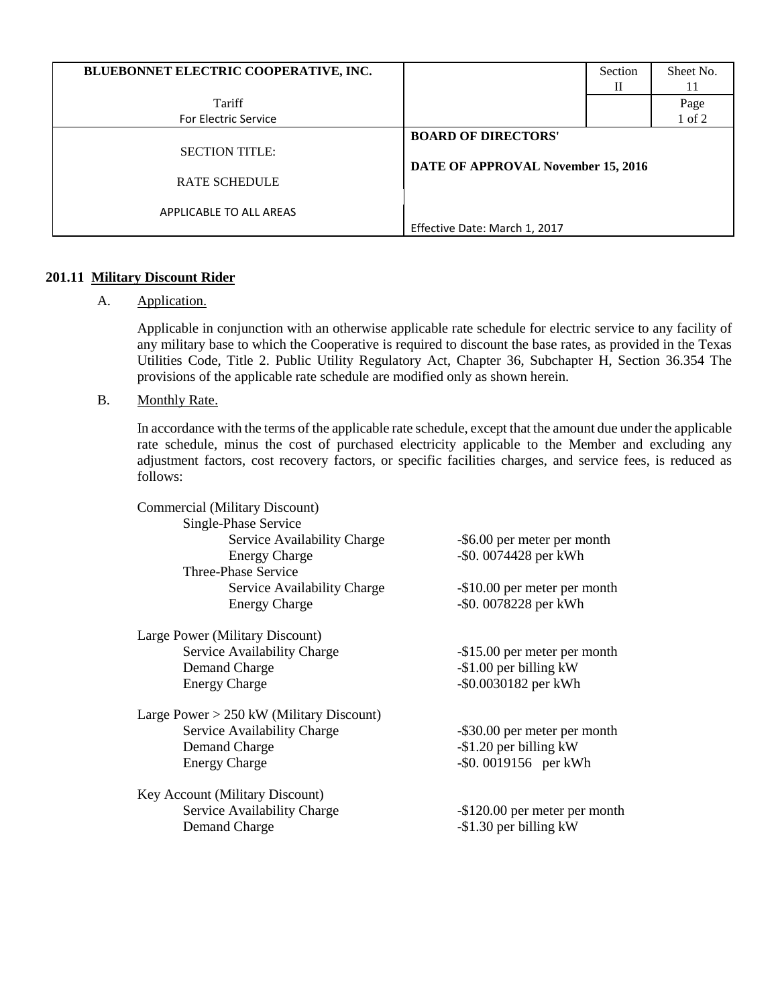| BLUEBONNET ELECTRIC COOPERATIVE, INC.         |                                                                  | Section<br>Н | Sheet No.<br>11 |
|-----------------------------------------------|------------------------------------------------------------------|--------------|-----------------|
| Tariff                                        |                                                                  |              | Page            |
| <b>For Electric Service</b>                   |                                                                  |              | 1 of 2          |
| <b>SECTION TITLE:</b><br><b>RATE SCHEDULE</b> | <b>BOARD OF DIRECTORS'</b><br>DATE OF APPROVAL November 15, 2016 |              |                 |
| APPLICABLE TO ALL AREAS                       | Effective Date: March 1, 2017                                    |              |                 |

# **201.11 Military Discount Rider**

# A. Application.

Applicable in conjunction with an otherwise applicable rate schedule for electric service to any facility of any military base to which the Cooperative is required to discount the base rates, as provided in the Texas Utilities Code, Title 2. Public Utility Regulatory Act, Chapter 36, Subchapter H, Section 36.354 The provisions of the applicable rate schedule are modified only as shown herein.

B. Monthly Rate.

In accordance with the terms of the applicable rate schedule, except that the amount due under the applicable rate schedule, minus the cost of purchased electricity applicable to the Member and excluding any adjustment factors, cost recovery factors, or specific facilities charges, and service fees, is reduced as follows:

| Commercial (Military Discount)           |                               |
|------------------------------------------|-------------------------------|
| Single-Phase Service                     |                               |
| Service Availability Charge              | -\$6.00 per meter per month   |
| <b>Energy Charge</b>                     | -\$0.0074428 per kWh          |
| Three-Phase Service                      |                               |
| Service Availability Charge              | -\$10.00 per meter per month  |
| <b>Energy Charge</b>                     | -\$0.0078228 per kWh          |
| Large Power (Military Discount)          |                               |
| Service Availability Charge              | -\$15.00 per meter per month  |
| Demand Charge                            | $-$ \$1.00 per billing kW     |
| <b>Energy Charge</b>                     | -\$0.0030182 per kWh          |
| Large Power > 250 kW (Military Discount) |                               |
| Service Availability Charge              | -\$30.00 per meter per month  |
| Demand Charge                            | $-$ \$1.20 per billing kW     |
| <b>Energy Charge</b>                     | -\$0.0019156 per kWh          |
| Key Account (Military Discount)          |                               |
| Service Availability Charge              | -\$120.00 per meter per month |
| Demand Charge                            | -\$1.30 per billing kW        |
|                                          |                               |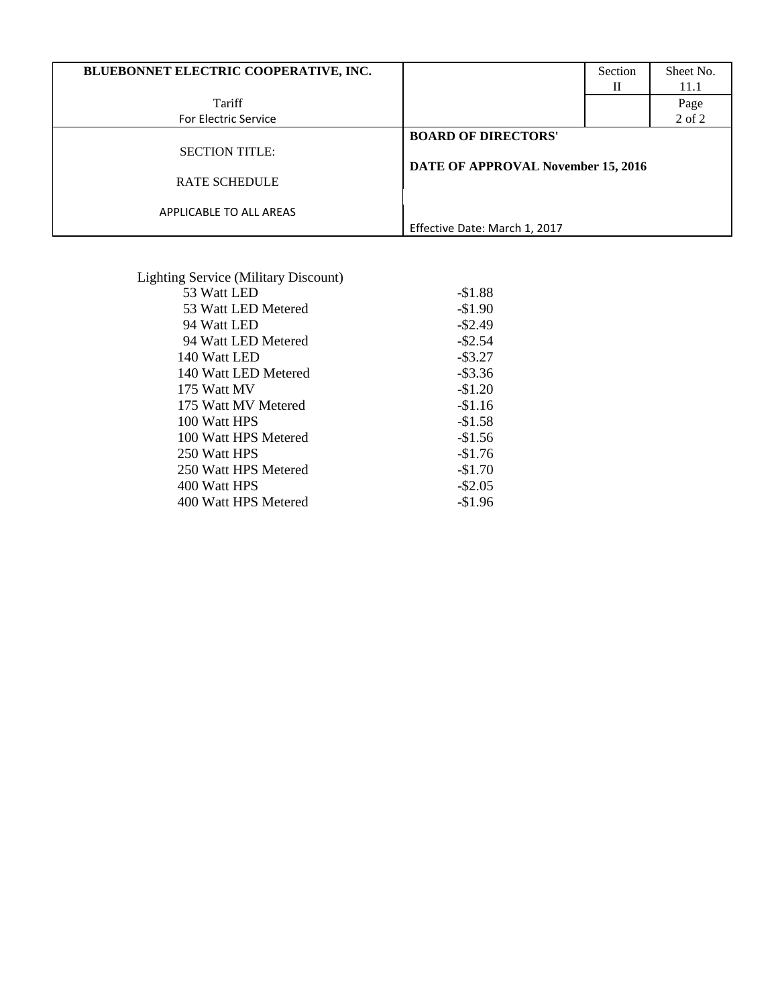| BLUEBONNET ELECTRIC COOPERATIVE, INC.         |                                                                  | Section<br>Н | Sheet No.<br>11.1 |
|-----------------------------------------------|------------------------------------------------------------------|--------------|-------------------|
| Tariff                                        |                                                                  |              | Page              |
| For Electric Service                          |                                                                  |              | 2 of 2            |
| <b>SECTION TITLE:</b><br><b>RATE SCHEDULE</b> | <b>BOARD OF DIRECTORS'</b><br>DATE OF APPROVAL November 15, 2016 |              |                   |
| APPLICABLE TO ALL AREAS                       | Effective Date: March 1, 2017                                    |              |                   |

| <b>Lighting Service (Military Discount)</b> |            |
|---------------------------------------------|------------|
| 53 Watt LED                                 | $-$1.88$   |
| 53 Watt LED Metered                         | $-$1.90$   |
| 94 Watt LED                                 | $-$ \$2.49 |
| 94 Watt LED Metered                         | $-$ \$2.54 |
| 140 Watt LED                                | $-$ \$3.27 |
| 140 Watt LED Metered                        | $-$ \$3.36 |
| 175 Watt MV                                 | $-\$1.20$  |
| 175 Watt MV Metered                         | $-$1.16$   |
| 100 Watt HPS                                | $-$1.58$   |
| 100 Watt HPS Metered                        | $-$1.56$   |
| 250 Watt HPS                                | $-$1.76$   |
| 250 Watt HPS Metered                        | $-$1.70$   |
| 400 Watt HPS                                | $-$ \$2.05 |
| 400 Watt HPS Metered                        | $-$1.96$   |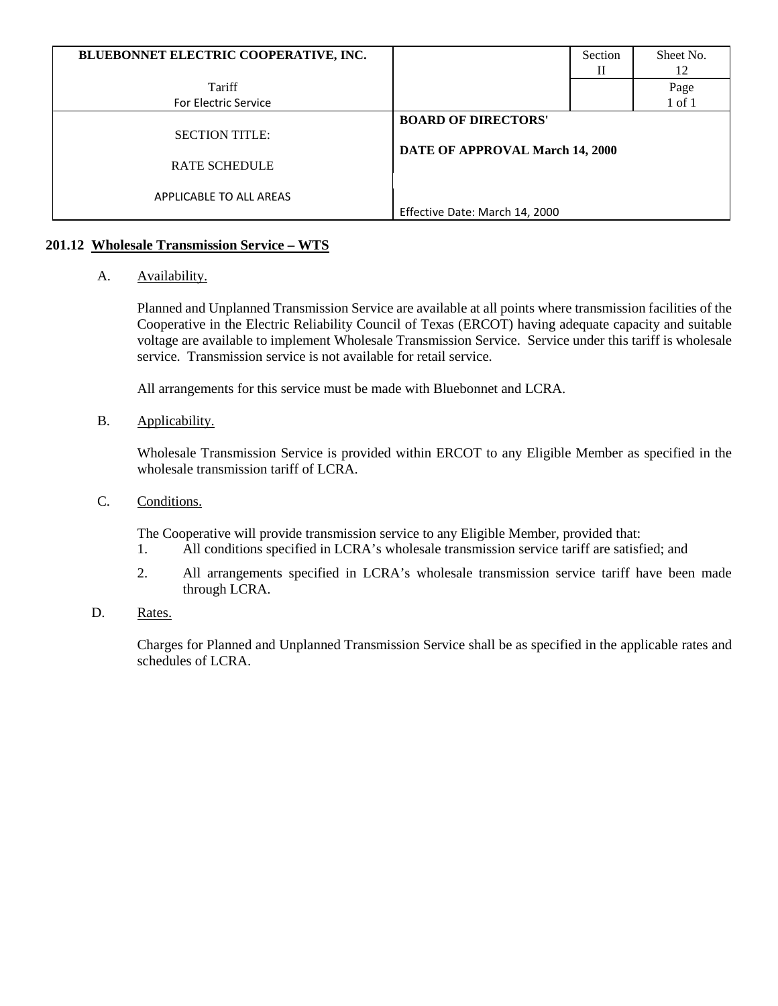| BLUEBONNET ELECTRIC COOPERATIVE, INC. |                                 | Section | Sheet No.  |
|---------------------------------------|---------------------------------|---------|------------|
|                                       |                                 | Н       | 12         |
| Tariff                                |                                 |         | Page       |
| For Electric Service                  |                                 |         | $1$ of $1$ |
|                                       | <b>BOARD OF DIRECTORS'</b>      |         |            |
| <b>SECTION TITLE:</b>                 |                                 |         |            |
|                                       | DATE OF APPROVAL March 14, 2000 |         |            |
| <b>RATE SCHEDULE</b>                  |                                 |         |            |
|                                       |                                 |         |            |
| APPLICABLE TO ALL AREAS               |                                 |         |            |
|                                       | Effective Date: March 14, 2000  |         |            |

# **201.12 Wholesale Transmission Service – WTS**

# A. Availability.

Planned and Unplanned Transmission Service are available at all points where transmission facilities of the Cooperative in the Electric Reliability Council of Texas (ERCOT) having adequate capacity and suitable voltage are available to implement Wholesale Transmission Service. Service under this tariff is wholesale service. Transmission service is not available for retail service.

All arrangements for this service must be made with Bluebonnet and LCRA.

B. Applicability.

Wholesale Transmission Service is provided within ERCOT to any Eligible Member as specified in the wholesale transmission tariff of LCRA.

C. Conditions.

The Cooperative will provide transmission service to any Eligible Member, provided that:

- 1. All conditions specified in LCRA's wholesale transmission service tariff are satisfied; and
- 2. All arrangements specified in LCRA's wholesale transmission service tariff have been made through LCRA.
- D. Rates.

Charges for Planned and Unplanned Transmission Service shall be as specified in the applicable rates and schedules of LCRA.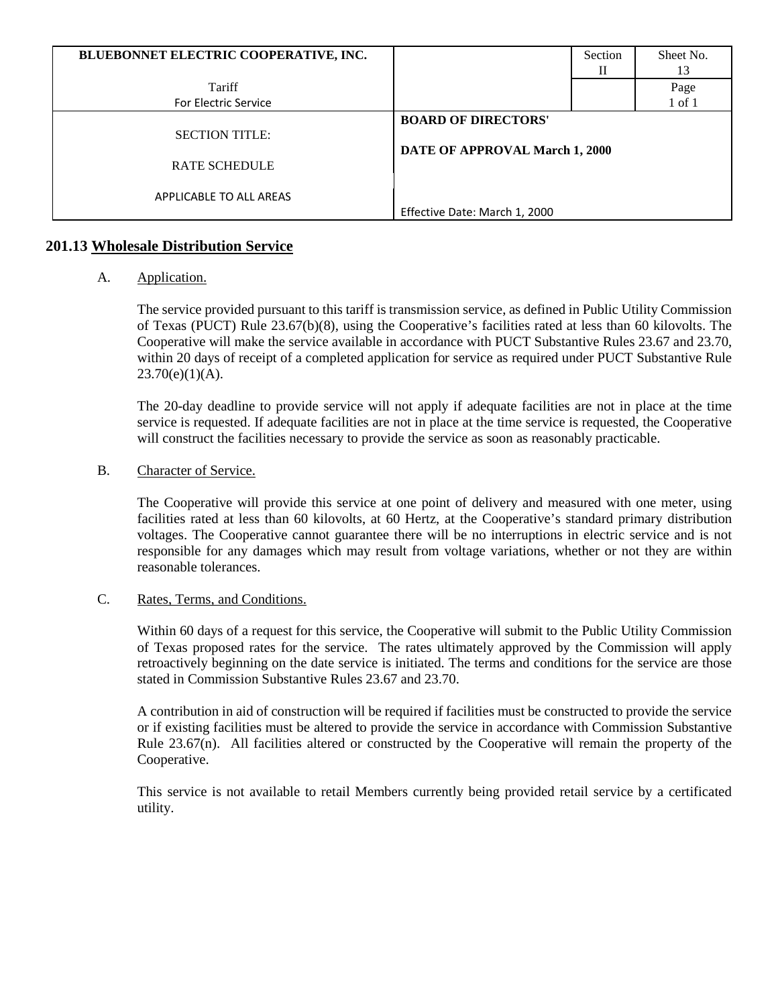| BLUEBONNET ELECTRIC COOPERATIVE, INC. |                                | Section | Sheet No. |
|---------------------------------------|--------------------------------|---------|-----------|
|                                       |                                | Н       | 13        |
| Tariff                                |                                |         | Page      |
| <b>For Electric Service</b>           |                                |         | 1 of 1    |
|                                       | <b>BOARD OF DIRECTORS'</b>     |         |           |
| <b>SECTION TITLE:</b>                 |                                |         |           |
| <b>RATE SCHEDULE</b>                  | DATE OF APPROVAL March 1, 2000 |         |           |
| APPLICABLE TO ALL AREAS               |                                |         |           |
|                                       | Effective Date: March 1, 2000  |         |           |

# **201.13 Wholesale Distribution Service**

# A. Application.

The service provided pursuant to this tariff is transmission service, as defined in Public Utility Commission of Texas (PUCT) Rule 23.67(b)(8), using the Cooperative's facilities rated at less than 60 kilovolts. The Cooperative will make the service available in accordance with PUCT Substantive Rules 23.67 and 23.70, within 20 days of receipt of a completed application for service as required under PUCT Substantive Rule  $23.70(e)(1)(A)$ .

The 20-day deadline to provide service will not apply if adequate facilities are not in place at the time service is requested. If adequate facilities are not in place at the time service is requested, the Cooperative will construct the facilities necessary to provide the service as soon as reasonably practicable.

#### B. Character of Service.

The Cooperative will provide this service at one point of delivery and measured with one meter, using facilities rated at less than 60 kilovolts, at 60 Hertz, at the Cooperative's standard primary distribution voltages. The Cooperative cannot guarantee there will be no interruptions in electric service and is not responsible for any damages which may result from voltage variations, whether or not they are within reasonable tolerances.

#### C. Rates, Terms, and Conditions.

Within 60 days of a request for this service, the Cooperative will submit to the Public Utility Commission of Texas proposed rates for the service. The rates ultimately approved by the Commission will apply retroactively beginning on the date service is initiated. The terms and conditions for the service are those stated in Commission Substantive Rules 23.67 and 23.70.

A contribution in aid of construction will be required if facilities must be constructed to provide the service or if existing facilities must be altered to provide the service in accordance with Commission Substantive Rule 23.67(n). All facilities altered or constructed by the Cooperative will remain the property of the Cooperative.

This service is not available to retail Members currently being provided retail service by a certificated utility.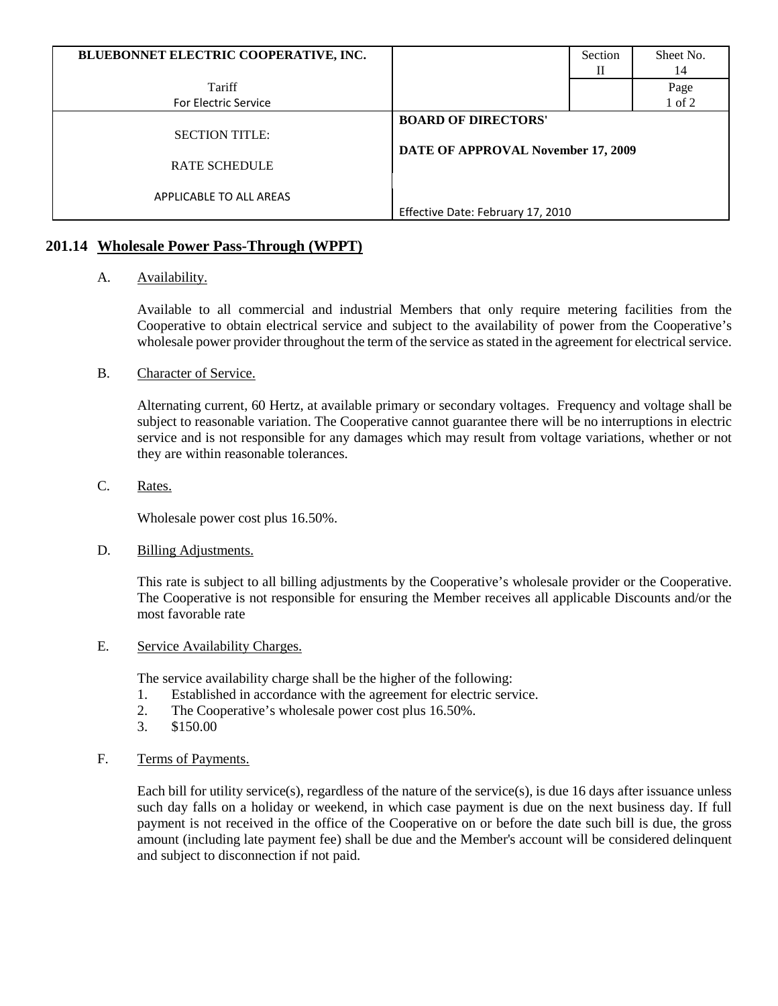| BLUEBONNET ELECTRIC COOPERATIVE, INC. |                                    | Section | Sheet No. |
|---------------------------------------|------------------------------------|---------|-----------|
|                                       |                                    | Н       | 14        |
| Tariff                                |                                    |         | Page      |
| <b>For Electric Service</b>           |                                    |         | 1 of 2    |
|                                       | <b>BOARD OF DIRECTORS'</b>         |         |           |
| <b>SECTION TITLE:</b>                 |                                    |         |           |
|                                       | DATE OF APPROVAL November 17, 2009 |         |           |
| <b>RATE SCHEDULE</b>                  |                                    |         |           |
|                                       |                                    |         |           |
| APPLICABLE TO ALL AREAS               |                                    |         |           |
|                                       | Effective Date: February 17, 2010  |         |           |

# **201.14 Wholesale Power Pass-Through (WPPT)**

# A. Availability.

Available to all commercial and industrial Members that only require metering facilities from the Cooperative to obtain electrical service and subject to the availability of power from the Cooperative's wholesale power provider throughout the term of the service as stated in the agreement for electrical service.

# B. Character of Service.

Alternating current, 60 Hertz, at available primary or secondary voltages. Frequency and voltage shall be subject to reasonable variation. The Cooperative cannot guarantee there will be no interruptions in electric service and is not responsible for any damages which may result from voltage variations, whether or not they are within reasonable tolerances.

# C. Rates.

Wholesale power cost plus 16.50%.

# D. Billing Adjustments.

This rate is subject to all billing adjustments by the Cooperative's wholesale provider or the Cooperative. The Cooperative is not responsible for ensuring the Member receives all applicable Discounts and/or the most favorable rate

# E. Service Availability Charges.

The service availability charge shall be the higher of the following:

- 1. Established in accordance with the agreement for electric service.
- 2. The Cooperative's wholesale power cost plus 16.50%.
- 3. \$150.00
- F. Terms of Payments.

Each bill for utility service(s), regardless of the nature of the service(s), is due 16 days after issuance unless such day falls on a holiday or weekend, in which case payment is due on the next business day. If full payment is not received in the office of the Cooperative on or before the date such bill is due, the gross amount (including late payment fee) shall be due and the Member's account will be considered delinquent and subject to disconnection if not paid.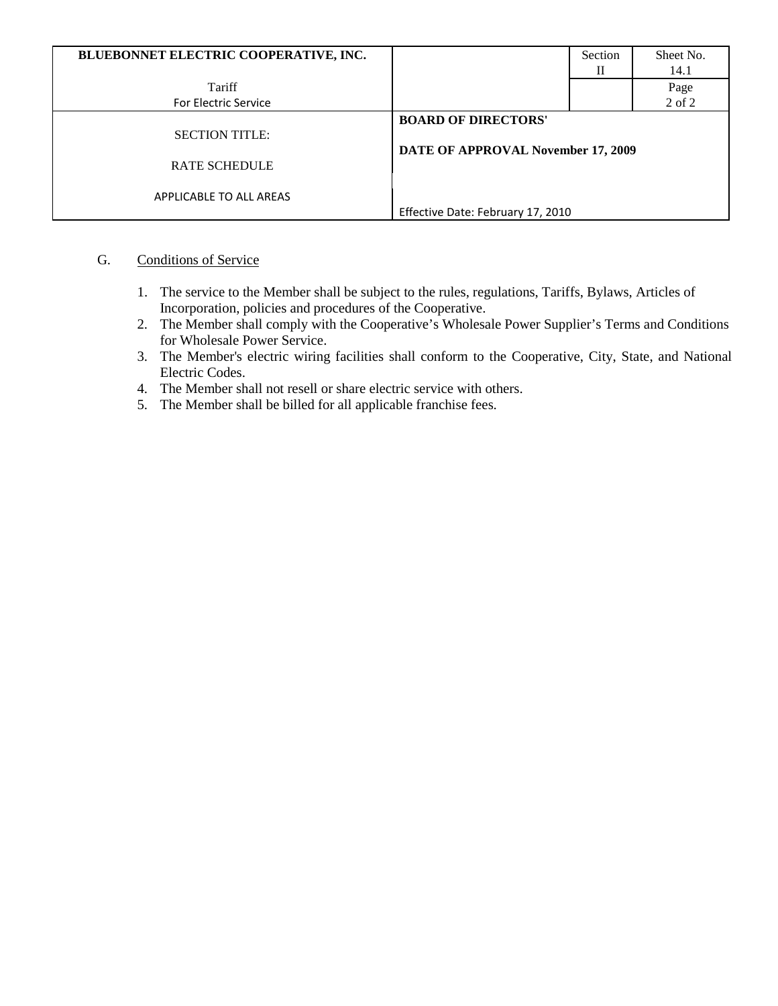| BLUEBONNET ELECTRIC COOPERATIVE, INC. |                                    | Section | Sheet No. |
|---------------------------------------|------------------------------------|---------|-----------|
|                                       |                                    | П       | 14.1      |
| Tariff                                |                                    |         | Page      |
| <b>For Electric Service</b>           |                                    |         | 2 of 2    |
|                                       | <b>BOARD OF DIRECTORS'</b>         |         |           |
| <b>SECTION TITLE:</b>                 |                                    |         |           |
|                                       | DATE OF APPROVAL November 17, 2009 |         |           |
| <b>RATE SCHEDULE</b>                  |                                    |         |           |
|                                       |                                    |         |           |
| APPLICABLE TO ALL AREAS               |                                    |         |           |
|                                       | Effective Date: February 17, 2010  |         |           |

# G. Conditions of Service

- 1. The service to the Member shall be subject to the rules, regulations, Tariffs, Bylaws, Articles of Incorporation, policies and procedures of the Cooperative.
- 2. The Member shall comply with the Cooperative's Wholesale Power Supplier's Terms and Conditions for Wholesale Power Service.
- 3. The Member's electric wiring facilities shall conform to the Cooperative, City, State, and National Electric Codes.
- 4. The Member shall not resell or share electric service with others.
- 5. The Member shall be billed for all applicable franchise fees.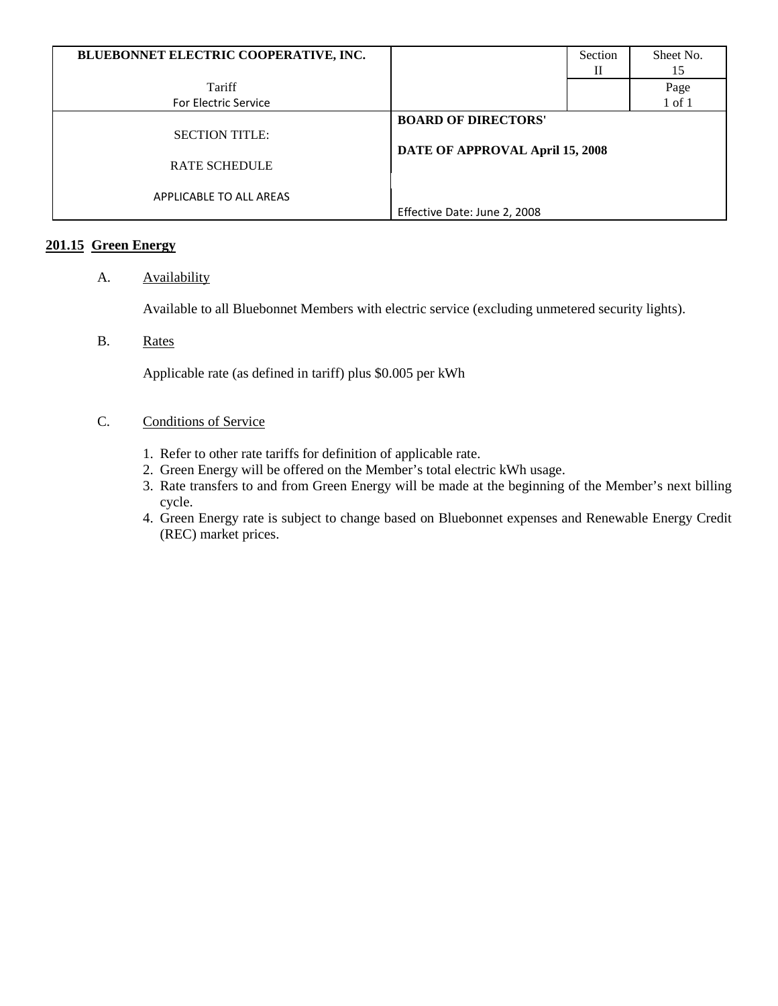| BLUEBONNET ELECTRIC COOPERATIVE, INC. |                                 | Section | Sheet No.  |
|---------------------------------------|---------------------------------|---------|------------|
|                                       |                                 | П       | 15         |
| Tariff                                |                                 |         | Page       |
| <b>For Electric Service</b>           |                                 |         | $1$ of $1$ |
|                                       | <b>BOARD OF DIRECTORS'</b>      |         |            |
| <b>SECTION TITLE:</b>                 |                                 |         |            |
|                                       | DATE OF APPROVAL April 15, 2008 |         |            |
| <b>RATE SCHEDULE</b>                  |                                 |         |            |
|                                       |                                 |         |            |
| APPLICABLE TO ALL AREAS               |                                 |         |            |
|                                       | Effective Date: June 2, 2008    |         |            |

# **201.15 Green Energy**

# A. **Availability**

Available to all Bluebonnet Members with electric service (excluding unmetered security lights).

B. Rates

Applicable rate (as defined in tariff) plus \$0.005 per kWh

- C. Conditions of Service
	- 1. Refer to other rate tariffs for definition of applicable rate.
	- 2. Green Energy will be offered on the Member's total electric kWh usage.
	- 3. Rate transfers to and from Green Energy will be made at the beginning of the Member's next billing cycle.
	- 4. Green Energy rate is subject to change based on Bluebonnet expenses and Renewable Energy Credit (REC) market prices.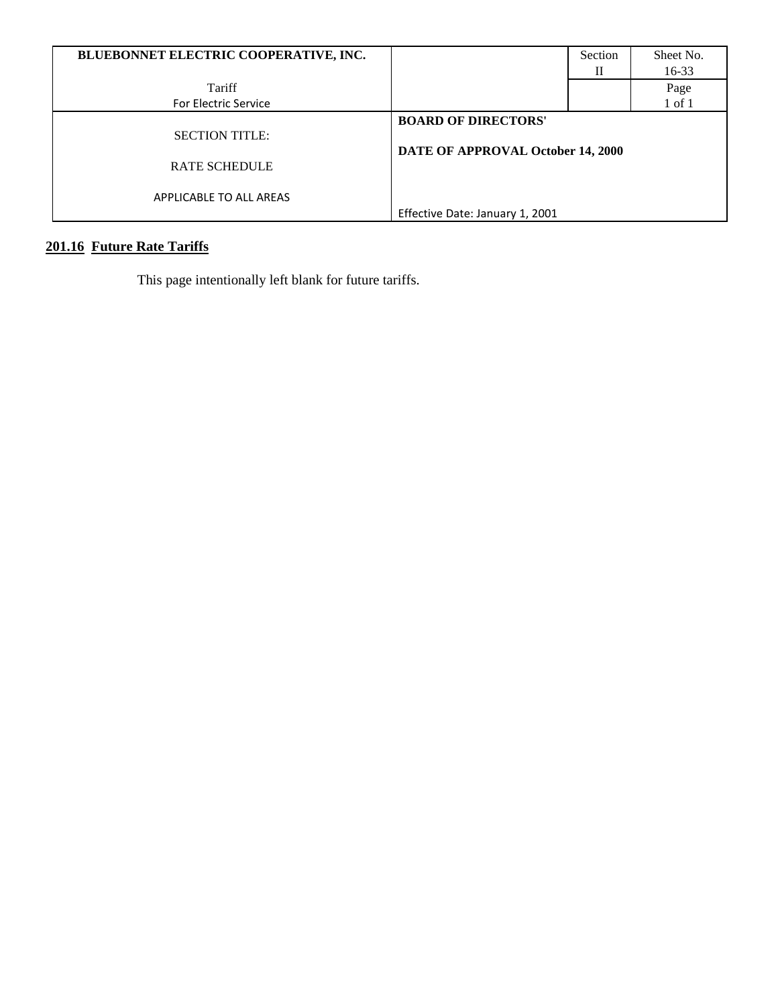| BLUEBONNET ELECTRIC COOPERATIVE, INC. |                                   | Section | Sheet No. |
|---------------------------------------|-----------------------------------|---------|-----------|
|                                       |                                   |         | $16 - 33$ |
| Tariff                                |                                   |         | Page      |
| <b>For Electric Service</b>           |                                   |         | 1 of 1    |
|                                       | <b>BOARD OF DIRECTORS'</b>        |         |           |
| <b>SECTION TITLE:</b>                 |                                   |         |           |
|                                       | DATE OF APPROVAL October 14, 2000 |         |           |
| <b>RATE SCHEDULE</b>                  |                                   |         |           |
|                                       |                                   |         |           |
| APPLICABLE TO ALL AREAS               |                                   |         |           |
|                                       | Effective Date: January 1, 2001   |         |           |

# **201.16 Future Rate Tariffs**

This page intentionally left blank for future tariffs.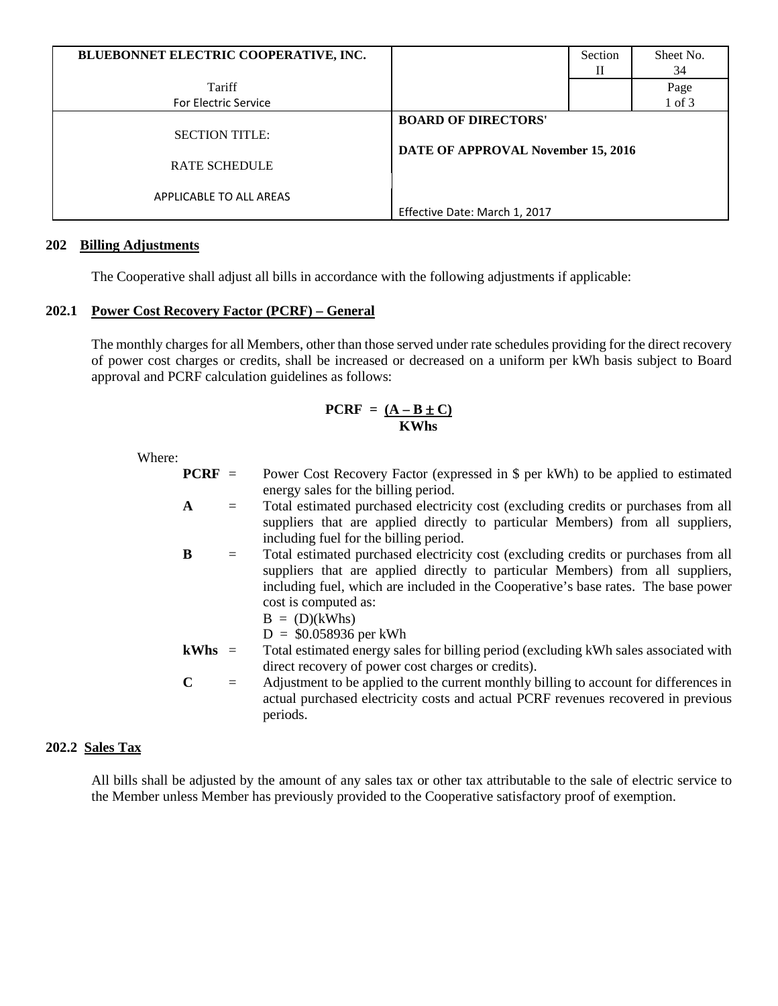| BLUEBONNET ELECTRIC COOPERATIVE, INC. |                                    | Section | Sheet No. |
|---------------------------------------|------------------------------------|---------|-----------|
|                                       |                                    | Н       | 34        |
| Tariff                                |                                    |         | Page      |
| <b>For Electric Service</b>           |                                    |         | 1 of 3    |
|                                       | <b>BOARD OF DIRECTORS'</b>         |         |           |
| <b>SECTION TITLE:</b>                 |                                    |         |           |
|                                       | DATE OF APPROVAL November 15, 2016 |         |           |
| <b>RATE SCHEDULE</b>                  |                                    |         |           |
|                                       |                                    |         |           |
| APPLICABLE TO ALL AREAS               |                                    |         |           |
|                                       | Effective Date: March 1, 2017      |         |           |

# **202 Billing Adjustments**

The Cooperative shall adjust all bills in accordance with the following adjustments if applicable:

# **202.1 Power Cost Recovery Factor (PCRF) – General**

The monthly charges for all Members, other than those served under rate schedules providing for the direct recovery of power cost charges or credits, shall be increased or decreased on a uniform per kWh basis subject to Board approval and PCRF calculation guidelines as follows:

# $PCRF = (A - B \pm C)$  **KWhs**

| v<br>ner |
|----------|
|----------|

| $PCRF =$     |     | Power Cost Recovery Factor (expressed in \$ per kWh) to be applied to estimated                                                            |  |  |
|--------------|-----|--------------------------------------------------------------------------------------------------------------------------------------------|--|--|
|              |     | energy sales for the billing period.                                                                                                       |  |  |
| $\mathbf{A}$ | $=$ | Total estimated purchased electricity cost (excluding credits or purchases from all                                                        |  |  |
|              |     | suppliers that are applied directly to particular Members) from all suppliers,<br>including fuel for the billing period.                   |  |  |
| B            | $=$ | Total estimated purchased electricity cost (excluding credits or purchases from all                                                        |  |  |
|              |     | suppliers that are applied directly to particular Members) from all suppliers,                                                             |  |  |
|              |     | including fuel, which are included in the Cooperative's base rates. The base power                                                         |  |  |
|              |     | cost is computed as:                                                                                                                       |  |  |
|              |     | $B = (D)(kWhs)$                                                                                                                            |  |  |
|              |     | $D = $0.058936$ per kWh                                                                                                                    |  |  |
| $kWhs =$     |     | Total estimated energy sales for billing period (excluding kWh sales associated with<br>direct recovery of power cost charges or credits). |  |  |
| $\mathbf C$  | $=$ | Adjustment to be applied to the current monthly billing to account for differences in                                                      |  |  |
|              |     | actual purchased electricity costs and actual PCRF revenues recovered in previous                                                          |  |  |
|              |     | periods.                                                                                                                                   |  |  |

# **202.2 Sales Tax**

All bills shall be adjusted by the amount of any sales tax or other tax attributable to the sale of electric service to the Member unless Member has previously provided to the Cooperative satisfactory proof of exemption.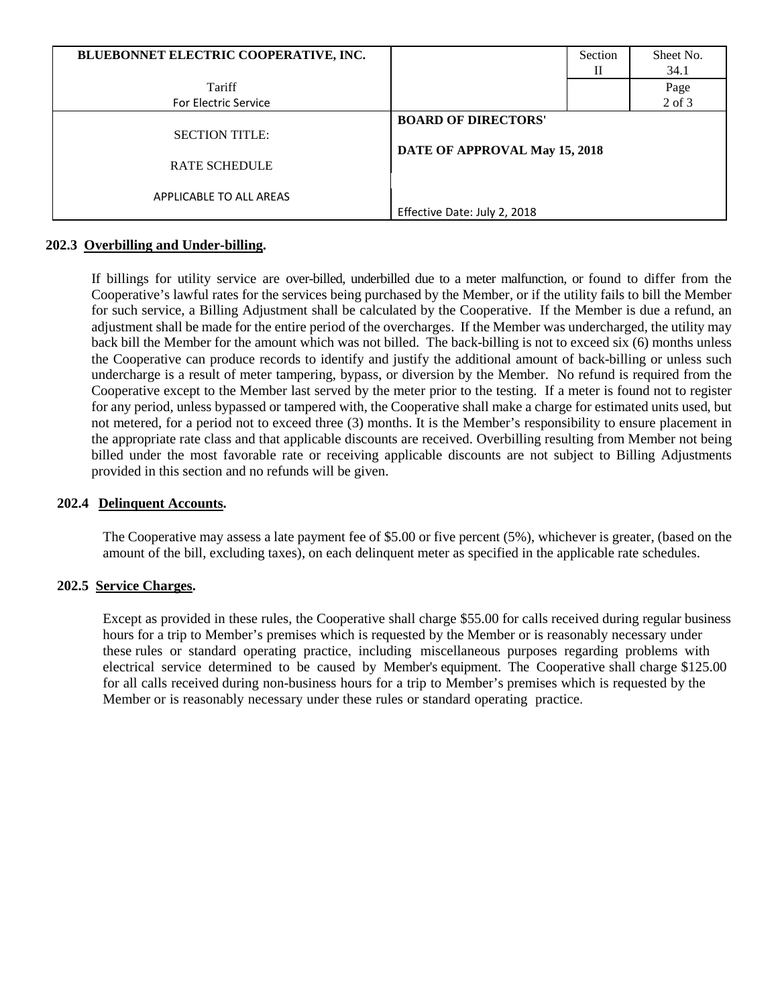| BLUEBONNET ELECTRIC COOPERATIVE, INC. |                                                             | Section | Sheet No.  |
|---------------------------------------|-------------------------------------------------------------|---------|------------|
|                                       |                                                             | П       | 34.1       |
| Tariff                                |                                                             |         | Page       |
| <b>For Electric Service</b>           |                                                             |         | $2$ of $3$ |
|                                       | <b>BOARD OF DIRECTORS'</b><br>DATE OF APPROVAL May 15, 2018 |         |            |
| <b>SECTION TITLE:</b>                 |                                                             |         |            |
|                                       |                                                             |         |            |
| <b>RATE SCHEDULE</b>                  |                                                             |         |            |
|                                       |                                                             |         |            |
| APPLICABLE TO ALL AREAS               |                                                             |         |            |
|                                       | Effective Date: July 2, 2018                                |         |            |

#### **202.3 Overbilling and Under-billing.**

If billings for utility service are over-billed, underbilled due to a meter malfunction, or found to differ from the Cooperative's lawful rates for the services being purchased by the Member, or if the utility fails to bill the Member for such service, a Billing Adjustment shall be calculated by the Cooperative. If the Member is due a refund, an adjustment shall be made for the entire period of the overcharges. If the Member was undercharged, the utility may back bill the Member for the amount which was not billed. The back-billing is not to exceed six (6) months unless the Cooperative can produce records to identify and justify the additional amount of back-billing or unless such undercharge is a result of meter tampering, bypass, or diversion by the Member. No refund is required from the Cooperative except to the Member last served by the meter prior to the testing. If a meter is found not to register for any period, unless bypassed or tampered with, the Cooperative shall make a charge for estimated units used, but not metered, for a period not to exceed three (3) months. It is the Member's responsibility to ensure placement in the appropriate rate class and that applicable discounts are received. Overbilling resulting from Member not being billed under the most favorable rate or receiving applicable discounts are not subject to Billing Adjustments provided in this section and no refunds will be given.

#### **202.4 Delinquent Accounts.**

The Cooperative may assess a late payment fee of \$5.00 or five percent (5%), whichever is greater, (based on the amount of the bill, excluding taxes), on each delinquent meter as specified in the applicable rate schedules.

# **202.5 Service Charges.**

Except as provided in these rules, the Cooperative shall charge \$55.00 for calls received during regular business hours for a trip to Member's premises which is requested by the Member or is reasonably necessary under these rules or standard operating practice, including miscellaneous purposes regarding problems with electrical service determined to be caused by Member's equipment. The Cooperative shall charge \$125.00 for all calls received during non-business hours for a trip to Member's premises which is requested by the Member or is reasonably necessary under these rules or standard operating practice.